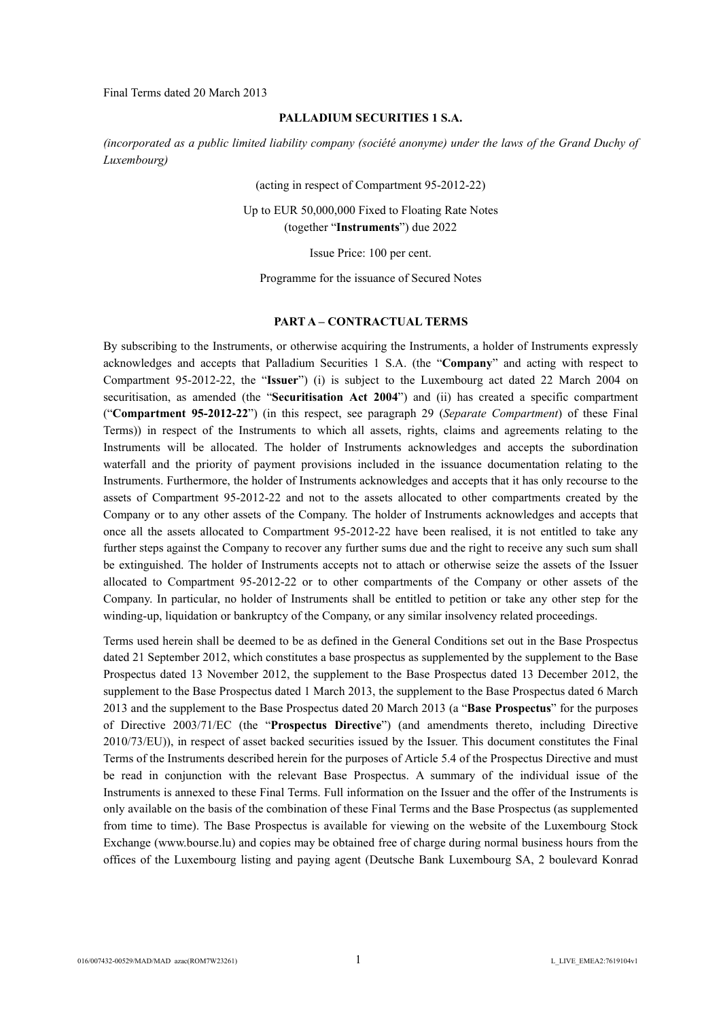Final Terms dated 20 March 2013

#### **PALLADIUM SECURITIES 1 S.A.**

*(incorporated as a public limited liability company (société anonyme) under the laws of the Grand Duchy of Luxembourg)*

(acting in respect of Compartment 95-2012-22)

Up to EUR 50,000,000 Fixed to Floating Rate Notes (together "**Instruments**") due 2022

Issue Price: 100 per cent.

Programme for the issuance of Secured Notes

#### **PART A – CONTRACTUAL TERMS**

By subscribing to the Instruments, or otherwise acquiring the Instruments, a holder of Instruments expressly acknowledges and accepts that Palladium Securities 1 S.A. (the "**Company**" and acting with respect to Compartment 95-2012-22, the "**Issuer**") (i) is subject to the Luxembourg act dated 22 March 2004 on securitisation, as amended (the "**Securitisation Act 2004**") and (ii) has created a specific compartment ("**Compartment 95-2012-22**") (in this respect, see paragraph 29 (*Separate Compartment*) of these Final Terms)) in respect of the Instruments to which all assets, rights, claims and agreements relating to the Instruments will be allocated. The holder of Instruments acknowledges and accepts the subordination waterfall and the priority of payment provisions included in the issuance documentation relating to the Instruments. Furthermore, the holder of Instruments acknowledges and accepts that it has only recourse to the assets of Compartment 95-2012-22 and not to the assets allocated to other compartments created by the Company or to any other assets of the Company. The holder of Instruments acknowledges and accepts that once all the assets allocated to Compartment 95-2012-22 have been realised, it is not entitled to take any further steps against the Company to recover any further sums due and the right to receive any such sum shall be extinguished. The holder of Instruments accepts not to attach or otherwise seize the assets of the Issuer allocated to Compartment 95-2012-22 or to other compartments of the Company or other assets of the Company. In particular, no holder of Instruments shall be entitled to petition or take any other step for the winding-up, liquidation or bankruptcy of the Company, or any similar insolvency related proceedings.

Terms used herein shall be deemed to be as defined in the General Conditions set out in the Base Prospectus dated 21 September 2012, which constitutes a base prospectus as supplemented by the supplement to the Base Prospectus dated 13 November 2012, the supplement to the Base Prospectus dated 13 December 2012, the supplement to the Base Prospectus dated 1 March 2013, the supplement to the Base Prospectus dated 6 March 2013 and the supplement to the Base Prospectus dated 20 March 2013 (a "**Base Prospectus**" for the purposes of Directive 2003/71/EC (the "**Prospectus Directive**") (and amendments thereto, including Directive 2010/73/EU)), in respect of asset backed securities issued by the Issuer. This document constitutes the Final Terms of the Instruments described herein for the purposes of Article 5.4 of the Prospectus Directive and must be read in conjunction with the relevant Base Prospectus. A summary of the individual issue of the Instruments is annexed to these Final Terms. Full information on the Issuer and the offer of the Instruments is only available on the basis of the combination of these Final Terms and the Base Prospectus (as supplemented from time to time). The Base Prospectus is available for viewing on the website of the Luxembourg Stock Exchange (www.bourse.lu) and copies may be obtained free of charge during normal business hours from the offices of the Luxembourg listing and paying agent (Deutsche Bank Luxembourg SA, 2 boulevard Konrad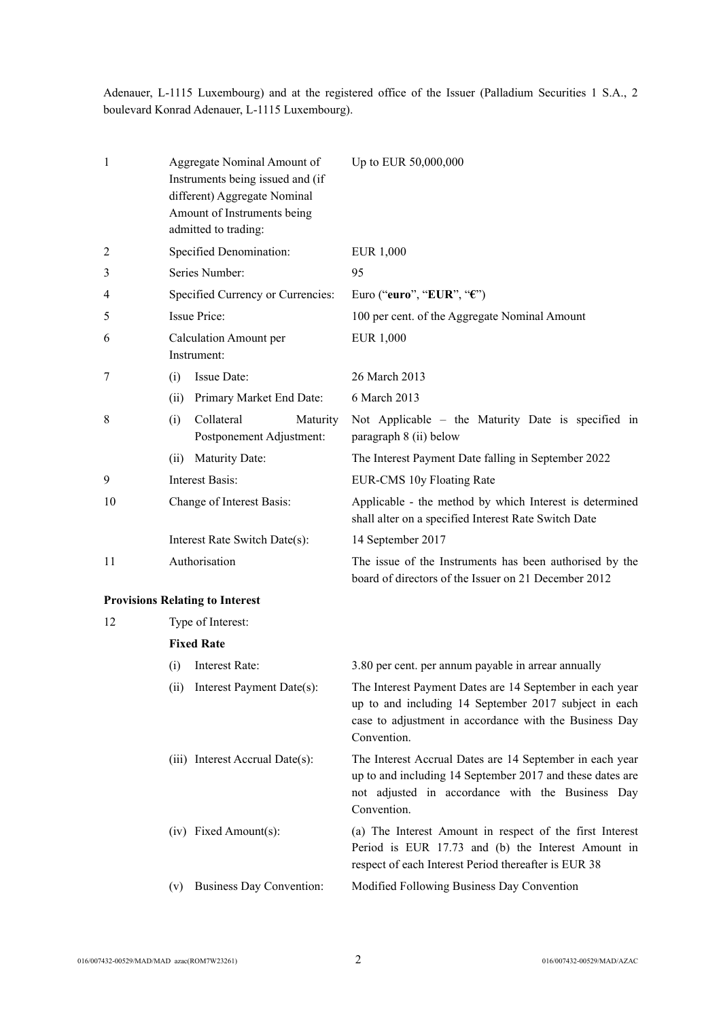Adenauer, L-1115 Luxembourg) and at the registered office of the Issuer (Palladium Securities 1 S.A., 2 boulevard Konrad Adenauer, L-1115 Luxembourg).

| 1  | Aggregate Nominal Amount of<br>Instruments being issued and (if<br>different) Aggregate Nominal<br>Amount of Instruments being<br>admitted to trading: |                                              |          | Up to EUR 50,000,000                                                                                                                                                                       |
|----|--------------------------------------------------------------------------------------------------------------------------------------------------------|----------------------------------------------|----------|--------------------------------------------------------------------------------------------------------------------------------------------------------------------------------------------|
| 2  |                                                                                                                                                        | Specified Denomination:                      |          | EUR 1,000                                                                                                                                                                                  |
| 3  |                                                                                                                                                        | Series Number:                               |          | 95                                                                                                                                                                                         |
| 4  |                                                                                                                                                        | Specified Currency or Currencies:            |          | Euro ("euro", "EUR", "€")                                                                                                                                                                  |
| 5  |                                                                                                                                                        | <b>Issue Price:</b>                          |          | 100 per cent. of the Aggregate Nominal Amount                                                                                                                                              |
| 6  |                                                                                                                                                        | <b>Calculation Amount per</b><br>Instrument: |          | EUR 1,000                                                                                                                                                                                  |
| 7  | (i)                                                                                                                                                    | Issue Date:                                  |          | 26 March 2013                                                                                                                                                                              |
|    | (ii)                                                                                                                                                   | Primary Market End Date:                     |          | 6 March 2013                                                                                                                                                                               |
| 8  | (i)                                                                                                                                                    | Collateral<br>Postponement Adjustment:       | Maturity | Not Applicable - the Maturity Date is specified in<br>paragraph 8 (ii) below                                                                                                               |
|    | (ii)                                                                                                                                                   | <b>Maturity Date:</b>                        |          | The Interest Payment Date falling in September 2022                                                                                                                                        |
| 9  |                                                                                                                                                        | Interest Basis:                              |          | EUR-CMS 10y Floating Rate                                                                                                                                                                  |
| 10 | Change of Interest Basis:                                                                                                                              |                                              |          | Applicable - the method by which Interest is determined<br>shall alter on a specified Interest Rate Switch Date                                                                            |
|    | Interest Rate Switch Date(s):                                                                                                                          |                                              |          | 14 September 2017                                                                                                                                                                          |
| 11 | Authorisation                                                                                                                                          |                                              |          | The issue of the Instruments has been authorised by the<br>board of directors of the Issuer on 21 December 2012                                                                            |
|    |                                                                                                                                                        | <b>Provisions Relating to Interest</b>       |          |                                                                                                                                                                                            |
| 12 |                                                                                                                                                        | Type of Interest:                            |          |                                                                                                                                                                                            |
|    |                                                                                                                                                        | <b>Fixed Rate</b>                            |          |                                                                                                                                                                                            |
|    | (i)                                                                                                                                                    | Interest Rate:                               |          | 3.80 per cent. per annum payable in arrear annually                                                                                                                                        |
|    | (ii)                                                                                                                                                   | Interest Payment Date(s):                    |          | The Interest Payment Dates are 14 September in each year<br>up to and including 14 September 2017 subject in each<br>case to adjustment in accordance with the Business Day<br>Convention. |
|    |                                                                                                                                                        | (iii) Interest Accrual Date(s):              |          | The Interest Accrual Dates are 14 September in each year<br>up to and including 14 September 2017 and these dates are<br>not adjusted in accordance with the Business Day<br>Convention.   |
|    |                                                                                                                                                        | (iv) Fixed Amount(s):                        |          | (a) The Interest Amount in respect of the first Interest<br>Period is EUR 17.73 and (b) the Interest Amount in<br>respect of each Interest Period thereafter is EUR 38                     |
|    | (v)                                                                                                                                                    | <b>Business Day Convention:</b>              |          | Modified Following Business Day Convention                                                                                                                                                 |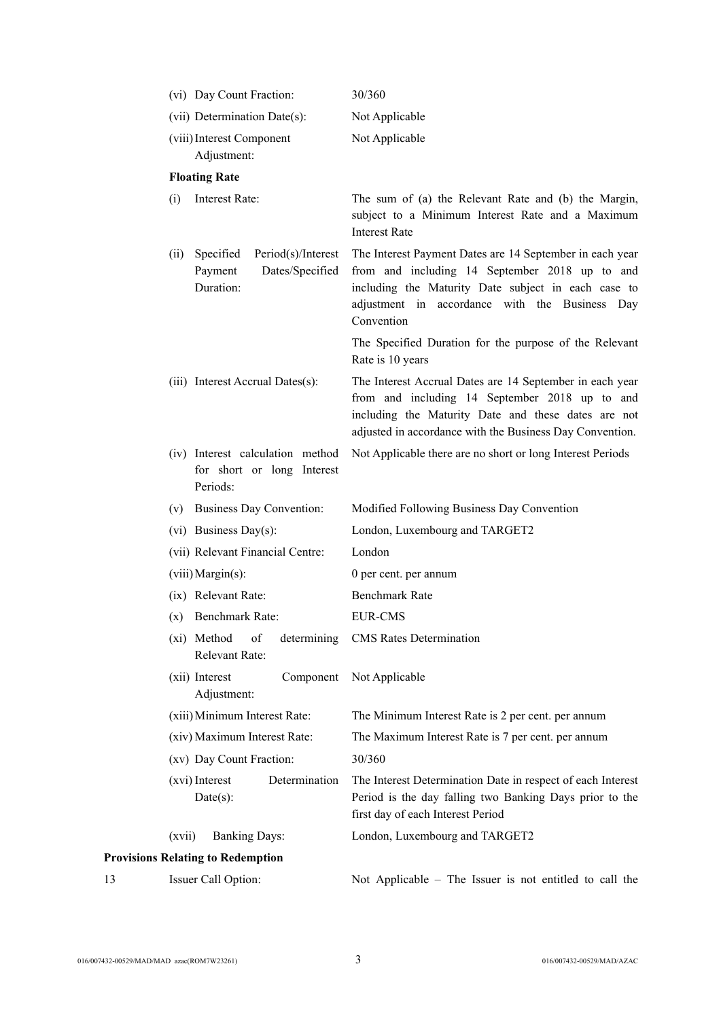|    | (vi) Day Count Fraction:                                                           | 30/360                                                                                                                                                                                                                            |
|----|------------------------------------------------------------------------------------|-----------------------------------------------------------------------------------------------------------------------------------------------------------------------------------------------------------------------------------|
|    | (vii) Determination Date(s):                                                       | Not Applicable                                                                                                                                                                                                                    |
|    | (viii) Interest Component<br>Adjustment:                                           | Not Applicable                                                                                                                                                                                                                    |
|    | <b>Floating Rate</b>                                                               |                                                                                                                                                                                                                                   |
|    | Interest Rate:<br>(i)                                                              | The sum of (a) the Relevant Rate and (b) the Margin,<br>subject to a Minimum Interest Rate and a Maximum<br><b>Interest Rate</b>                                                                                                  |
|    | Period(s)/Interest<br>Specified<br>(ii)<br>Dates/Specified<br>Payment<br>Duration: | The Interest Payment Dates are 14 September in each year<br>from and including 14 September 2018 up to and<br>including the Maturity Date subject in each case to<br>adjustment in accordance with the Business Day<br>Convention |
|    |                                                                                    | The Specified Duration for the purpose of the Relevant<br>Rate is 10 years                                                                                                                                                        |
|    | (iii) Interest Accrual Dates(s):                                                   | The Interest Accrual Dates are 14 September in each year<br>from and including 14 September 2018 up to and<br>including the Maturity Date and these dates are not<br>adjusted in accordance with the Business Day Convention.     |
|    | (iv) Interest calculation method<br>for short or long Interest<br>Periods:         | Not Applicable there are no short or long Interest Periods                                                                                                                                                                        |
|    | <b>Business Day Convention:</b><br>(v)                                             | Modified Following Business Day Convention                                                                                                                                                                                        |
|    | $(vi)$ Business Day(s):                                                            | London, Luxembourg and TARGET2                                                                                                                                                                                                    |
|    | (vii) Relevant Financial Centre:                                                   | London                                                                                                                                                                                                                            |
|    | $(viii)$ Margin(s):                                                                | 0 per cent. per annum                                                                                                                                                                                                             |
|    | (ix) Relevant Rate:                                                                | <b>Benchmark Rate</b>                                                                                                                                                                                                             |
|    | (x) Benchmark Rate:                                                                | <b>EUR-CMS</b>                                                                                                                                                                                                                    |
|    | (xi) Method<br>of<br>determining<br>Relevant Rate:                                 | <b>CMS</b> Rates Determination                                                                                                                                                                                                    |
|    | (xii) Interest<br>Component<br>Adjustment:                                         | Not Applicable                                                                                                                                                                                                                    |
|    | (xiii) Minimum Interest Rate:                                                      | The Minimum Interest Rate is 2 per cent. per annum                                                                                                                                                                                |
|    | (xiv) Maximum Interest Rate:                                                       | The Maximum Interest Rate is 7 per cent. per annum                                                                                                                                                                                |
|    | (xv) Day Count Fraction:                                                           | 30/360                                                                                                                                                                                                                            |
|    | Determination<br>(xvi) Interest<br>$Date(s)$ :                                     | The Interest Determination Date in respect of each Interest<br>Period is the day falling two Banking Days prior to the<br>first day of each Interest Period                                                                       |
|    | (xvii)<br><b>Banking Days:</b>                                                     | London, Luxembourg and TARGET2                                                                                                                                                                                                    |
|    | <b>Provisions Relating to Redemption</b>                                           |                                                                                                                                                                                                                                   |
| 13 | Issuer Call Option:                                                                | Not Applicable - The Issuer is not entitled to call the                                                                                                                                                                           |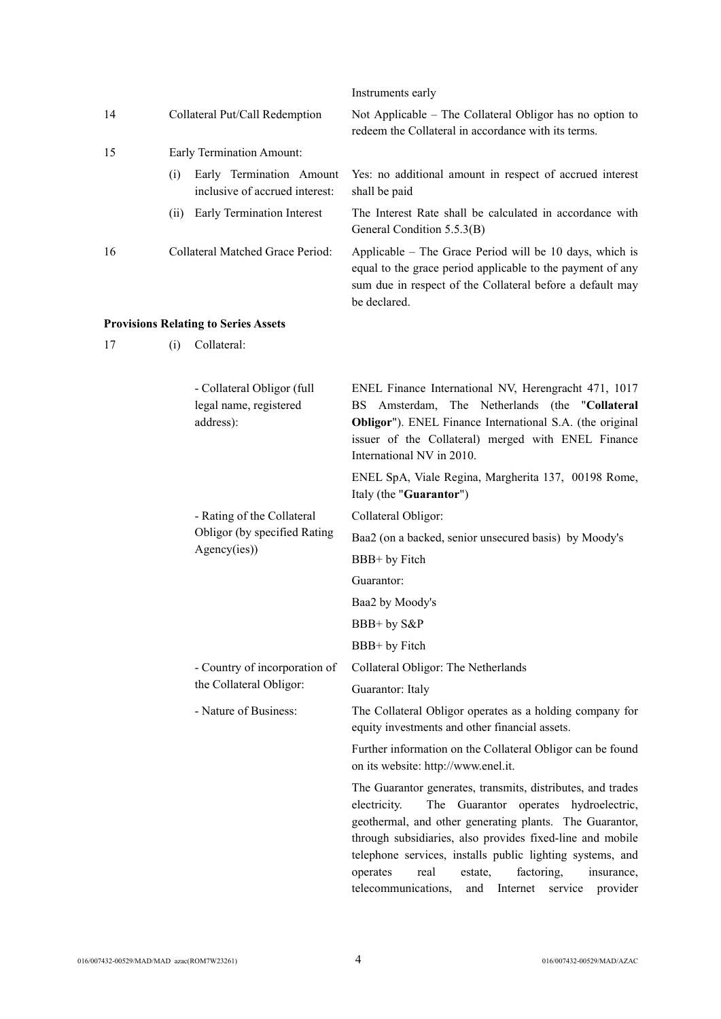|    |                                |                                                                   | Instruments early                                                                                                                                                                                                                                                                                                                                                                                                                     |
|----|--------------------------------|-------------------------------------------------------------------|---------------------------------------------------------------------------------------------------------------------------------------------------------------------------------------------------------------------------------------------------------------------------------------------------------------------------------------------------------------------------------------------------------------------------------------|
| 14 | Collateral Put/Call Redemption |                                                                   | Not Applicable – The Collateral Obligor has no option to<br>redeem the Collateral in accordance with its terms.                                                                                                                                                                                                                                                                                                                       |
| 15 |                                | Early Termination Amount:                                         |                                                                                                                                                                                                                                                                                                                                                                                                                                       |
|    | (i)                            | Early Termination Amount<br>inclusive of accrued interest:        | Yes: no additional amount in respect of accrued interest<br>shall be paid                                                                                                                                                                                                                                                                                                                                                             |
|    |                                | (ii) Early Termination Interest                                   | The Interest Rate shall be calculated in accordance with<br>General Condition 5.5.3(B)                                                                                                                                                                                                                                                                                                                                                |
| 16 |                                | Collateral Matched Grace Period:                                  | Applicable – The Grace Period will be 10 days, which is<br>equal to the grace period applicable to the payment of any<br>sum due in respect of the Collateral before a default may<br>be declared.                                                                                                                                                                                                                                    |
|    |                                | <b>Provisions Relating to Series Assets</b>                       |                                                                                                                                                                                                                                                                                                                                                                                                                                       |
| 17 | (i)                            | Collateral:                                                       |                                                                                                                                                                                                                                                                                                                                                                                                                                       |
|    |                                | - Collateral Obligor (full<br>legal name, registered<br>address): | ENEL Finance International NV, Herengracht 471, 1017<br>Amsterdam, The Netherlands (the "Collateral<br>BS<br>Obligor"). ENEL Finance International S.A. (the original<br>issuer of the Collateral) merged with ENEL Finance<br>International NV in 2010.                                                                                                                                                                              |
|    |                                |                                                                   | ENEL SpA, Viale Regina, Margherita 137, 00198 Rome,<br>Italy (the "Guarantor")                                                                                                                                                                                                                                                                                                                                                        |
|    |                                | - Rating of the Collateral                                        | Collateral Obligor:                                                                                                                                                                                                                                                                                                                                                                                                                   |
|    |                                | Obligor (by specified Rating<br>Agency(ies))                      | Baa2 (on a backed, senior unsecured basis) by Moody's                                                                                                                                                                                                                                                                                                                                                                                 |
|    |                                |                                                                   | BBB+ by Fitch                                                                                                                                                                                                                                                                                                                                                                                                                         |
|    |                                |                                                                   | Guarantor:                                                                                                                                                                                                                                                                                                                                                                                                                            |
|    |                                |                                                                   | Baa2 by Moody's                                                                                                                                                                                                                                                                                                                                                                                                                       |
|    |                                |                                                                   | BBB+ by S&P                                                                                                                                                                                                                                                                                                                                                                                                                           |
|    |                                |                                                                   | BBB+ by Fitch                                                                                                                                                                                                                                                                                                                                                                                                                         |
|    |                                | - Country of incorporation of                                     | Collateral Obligor: The Netherlands                                                                                                                                                                                                                                                                                                                                                                                                   |
|    |                                | the Collateral Obligor:                                           | Guarantor: Italy                                                                                                                                                                                                                                                                                                                                                                                                                      |
|    |                                | - Nature of Business:                                             | The Collateral Obligor operates as a holding company for<br>equity investments and other financial assets.                                                                                                                                                                                                                                                                                                                            |
|    |                                |                                                                   | Further information on the Collateral Obligor can be found<br>on its website: http://www.enel.it.                                                                                                                                                                                                                                                                                                                                     |
|    |                                |                                                                   | The Guarantor generates, transmits, distributes, and trades<br>electricity.<br>The Guarantor operates hydroelectric,<br>geothermal, and other generating plants. The Guarantor,<br>through subsidiaries, also provides fixed-line and mobile<br>telephone services, installs public lighting systems, and<br>operates<br>factoring,<br>real<br>estate,<br>insurance,<br>telecommunications,<br>Internet<br>service<br>provider<br>and |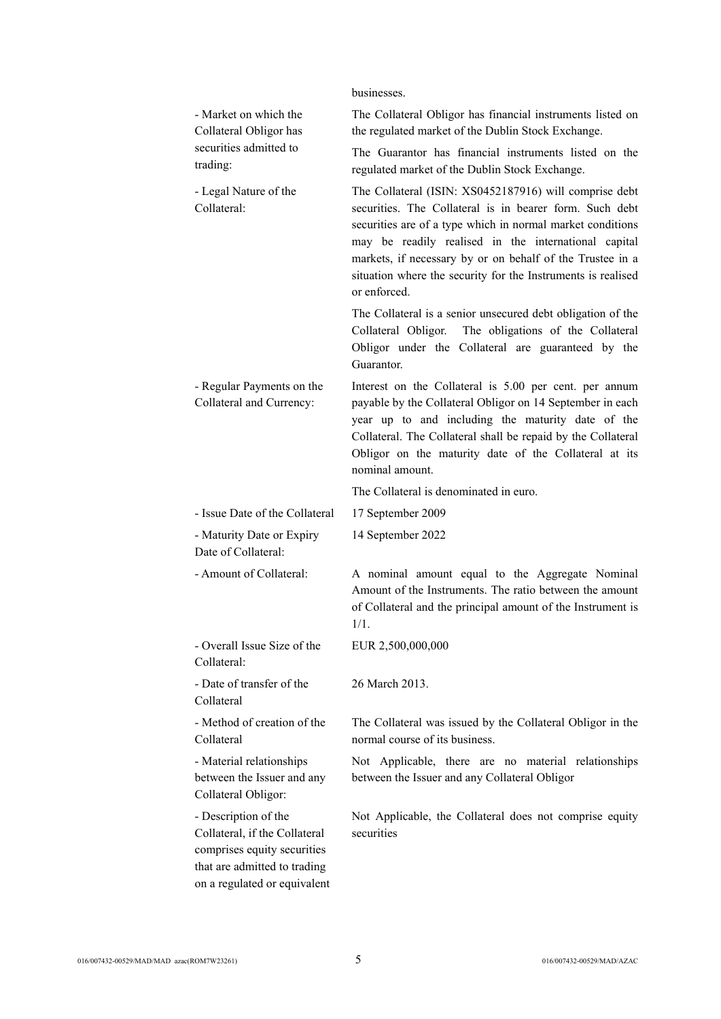|                                                                                                                                                      | businesses.                                                                                                                                                                                                                                                                                                                                                                          |
|------------------------------------------------------------------------------------------------------------------------------------------------------|--------------------------------------------------------------------------------------------------------------------------------------------------------------------------------------------------------------------------------------------------------------------------------------------------------------------------------------------------------------------------------------|
| - Market on which the<br>Collateral Obligor has                                                                                                      | The Collateral Obligor has financial instruments listed on<br>the regulated market of the Dublin Stock Exchange.                                                                                                                                                                                                                                                                     |
| securities admitted to<br>trading:                                                                                                                   | The Guarantor has financial instruments listed on the<br>regulated market of the Dublin Stock Exchange.                                                                                                                                                                                                                                                                              |
| - Legal Nature of the<br>Collateral:                                                                                                                 | The Collateral (ISIN: XS0452187916) will comprise debt<br>securities. The Collateral is in bearer form. Such debt<br>securities are of a type which in normal market conditions<br>may be readily realised in the international capital<br>markets, if necessary by or on behalf of the Trustee in a<br>situation where the security for the Instruments is realised<br>or enforced. |
|                                                                                                                                                      | The Collateral is a senior unsecured debt obligation of the<br>The obligations of the Collateral<br>Collateral Obligor.<br>Obligor under the Collateral are guaranteed by the<br>Guarantor.                                                                                                                                                                                          |
| - Regular Payments on the<br>Collateral and Currency:                                                                                                | Interest on the Collateral is 5.00 per cent. per annum<br>payable by the Collateral Obligor on 14 September in each<br>year up to and including the maturity date of the<br>Collateral. The Collateral shall be repaid by the Collateral<br>Obligor on the maturity date of the Collateral at its<br>nominal amount.                                                                 |
|                                                                                                                                                      | The Collateral is denominated in euro.                                                                                                                                                                                                                                                                                                                                               |
| - Issue Date of the Collateral                                                                                                                       | 17 September 2009                                                                                                                                                                                                                                                                                                                                                                    |
| - Maturity Date or Expiry<br>Date of Collateral:                                                                                                     | 14 September 2022                                                                                                                                                                                                                                                                                                                                                                    |
| - Amount of Collateral:                                                                                                                              | A nominal amount equal to the Aggregate Nominal<br>Amount of the Instruments. The ratio between the amount<br>of Collateral and the principal amount of the Instrument is<br>$1/1$ .                                                                                                                                                                                                 |
| - Overall Issue Size of the<br>Collateral:                                                                                                           | EUR 2,500,000,000                                                                                                                                                                                                                                                                                                                                                                    |
| - Date of transfer of the<br>Collateral                                                                                                              | 26 March 2013.                                                                                                                                                                                                                                                                                                                                                                       |
| - Method of creation of the<br>Collateral                                                                                                            | The Collateral was issued by the Collateral Obligor in the<br>normal course of its business.                                                                                                                                                                                                                                                                                         |
| - Material relationships<br>between the Issuer and any<br>Collateral Obligor:                                                                        | Not Applicable, there are no material relationships<br>between the Issuer and any Collateral Obligor                                                                                                                                                                                                                                                                                 |
| - Description of the<br>Collateral, if the Collateral<br>comprises equity securities<br>that are admitted to trading<br>on a regulated or equivalent | Not Applicable, the Collateral does not comprise equity<br>securities                                                                                                                                                                                                                                                                                                                |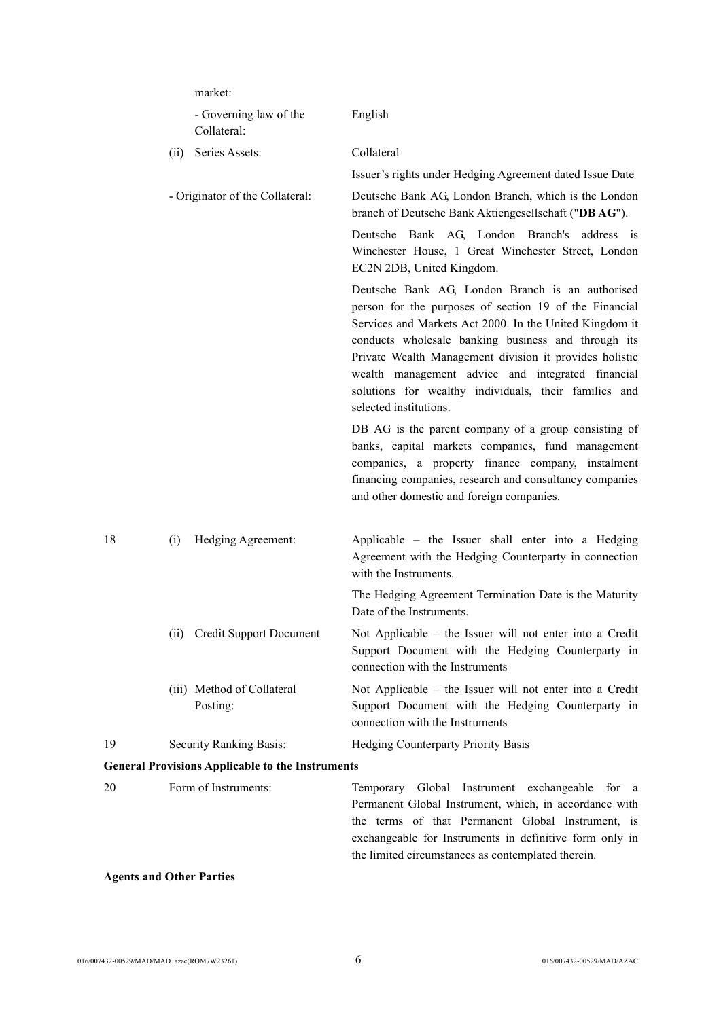|    |                         | market:                                                 |                                                                                                                                                                                                                                                                                                                                                                                                                                 |
|----|-------------------------|---------------------------------------------------------|---------------------------------------------------------------------------------------------------------------------------------------------------------------------------------------------------------------------------------------------------------------------------------------------------------------------------------------------------------------------------------------------------------------------------------|
|    |                         | - Governing law of the<br>Collateral:                   | English                                                                                                                                                                                                                                                                                                                                                                                                                         |
|    | (ii)                    | Series Assets:                                          | Collateral                                                                                                                                                                                                                                                                                                                                                                                                                      |
|    |                         |                                                         | Issuer's rights under Hedging Agreement dated Issue Date                                                                                                                                                                                                                                                                                                                                                                        |
|    |                         | - Originator of the Collateral:                         | Deutsche Bank AG, London Branch, which is the London<br>branch of Deutsche Bank Aktiengesellschaft ("DBAG").                                                                                                                                                                                                                                                                                                                    |
|    |                         |                                                         | Deutsche Bank AG, London Branch's address is<br>Winchester House, 1 Great Winchester Street, London<br>EC2N 2DB, United Kingdom.                                                                                                                                                                                                                                                                                                |
|    |                         |                                                         | Deutsche Bank AG, London Branch is an authorised<br>person for the purposes of section 19 of the Financial<br>Services and Markets Act 2000. In the United Kingdom it<br>conducts wholesale banking business and through its<br>Private Wealth Management division it provides holistic<br>wealth management advice and integrated financial<br>solutions for wealthy individuals, their families and<br>selected institutions. |
|    |                         |                                                         | DB AG is the parent company of a group consisting of<br>banks, capital markets companies, fund management<br>companies, a property finance company, instalment<br>financing companies, research and consultancy companies<br>and other domestic and foreign companies.                                                                                                                                                          |
| 18 | (i)                     | Hedging Agreement:                                      | Applicable - the Issuer shall enter into a Hedging<br>Agreement with the Hedging Counterparty in connection<br>with the Instruments.                                                                                                                                                                                                                                                                                            |
|    |                         |                                                         | The Hedging Agreement Termination Date is the Maturity<br>Date of the Instruments.                                                                                                                                                                                                                                                                                                                                              |
|    | (11)                    | <b>Credit Support Document</b>                          | Not Applicable – the Issuer will not enter into a Credit<br>Support Document with the Hedging Counterparty in<br>connection with the Instruments                                                                                                                                                                                                                                                                                |
|    |                         | (iii) Method of Collateral<br>Posting:                  | Not Applicable – the Issuer will not enter into a Credit<br>Support Document with the Hedging Counterparty in<br>connection with the Instruments                                                                                                                                                                                                                                                                                |
| 19 | Security Ranking Basis: |                                                         | Hedging Counterparty Priority Basis                                                                                                                                                                                                                                                                                                                                                                                             |
|    |                         | <b>General Provisions Applicable to the Instruments</b> |                                                                                                                                                                                                                                                                                                                                                                                                                                 |
| 20 |                         | Form of Instruments:                                    | Global Instrument exchangeable<br>Temporary<br>for<br>- a<br>Permanent Global Instrument, which, in accordance with<br>the terms of that Permanent Global Instrument, is<br>exchangeable for Instruments in definitive form only in<br>the limited circumstances as contemplated therein.                                                                                                                                       |

## **Agents and Other Parties**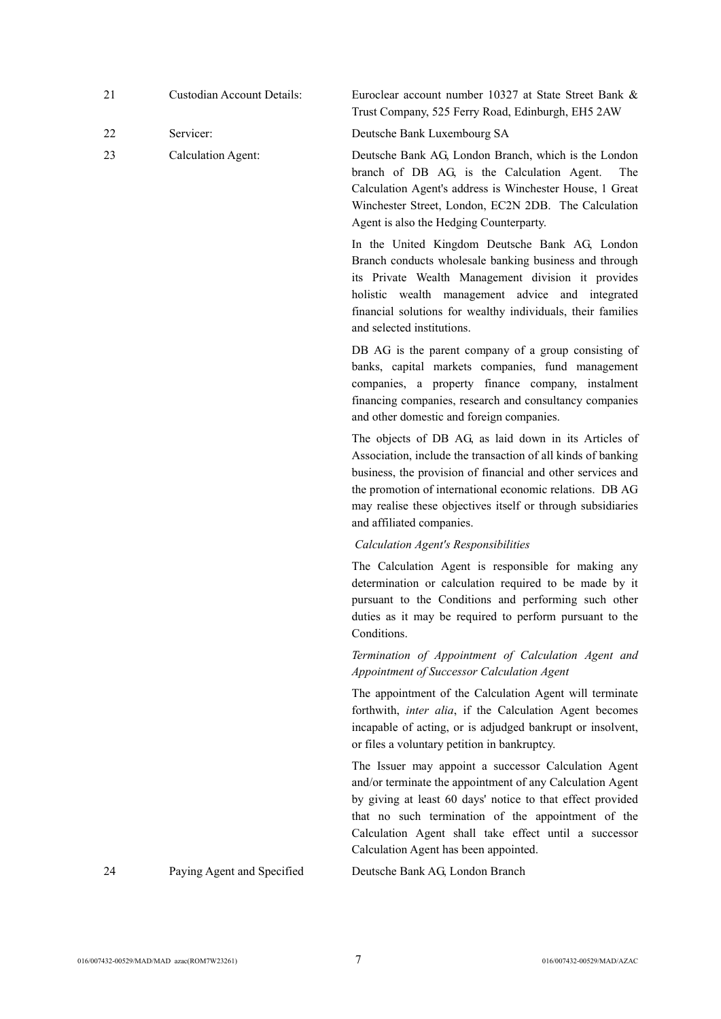|    |                            | Trust Company, 525 Ferry Road, Edinburgh, EH5 2AW                                                                                                                                                                                                                                                                                            |
|----|----------------------------|----------------------------------------------------------------------------------------------------------------------------------------------------------------------------------------------------------------------------------------------------------------------------------------------------------------------------------------------|
| 22 | Servicer:                  | Deutsche Bank Luxembourg SA                                                                                                                                                                                                                                                                                                                  |
| 23 | <b>Calculation Agent:</b>  | Deutsche Bank AG, London Branch, which is the London<br>branch of DB AG, is the Calculation Agent.<br>The<br>Calculation Agent's address is Winchester House, 1 Great<br>Winchester Street, London, EC2N 2DB. The Calculation<br>Agent is also the Hedging Counterparty.                                                                     |
|    |                            | In the United Kingdom Deutsche Bank AG, London<br>Branch conducts wholesale banking business and through<br>its Private Wealth Management division it provides<br>holistic wealth management advice and integrated<br>financial solutions for wealthy individuals, their families<br>and selected institutions.                              |
|    |                            | DB AG is the parent company of a group consisting of<br>banks, capital markets companies, fund management<br>companies, a property finance company, instalment<br>financing companies, research and consultancy companies<br>and other domestic and foreign companies.                                                                       |
|    |                            | The objects of DB AG, as laid down in its Articles of<br>Association, include the transaction of all kinds of banking<br>business, the provision of financial and other services and<br>the promotion of international economic relations. DB AG<br>may realise these objectives itself or through subsidiaries<br>and affiliated companies. |
|    |                            | <b>Calculation Agent's Responsibilities</b>                                                                                                                                                                                                                                                                                                  |
|    |                            | The Calculation Agent is responsible for making any<br>determination or calculation required to be made by it<br>pursuant to the Conditions and performing such other<br>duties as it may be required to perform pursuant to the<br>Conditions.                                                                                              |
|    |                            | Termination of Appointment of Calculation Agent and<br>Appointment of Successor Calculation Agent                                                                                                                                                                                                                                            |
|    |                            | The appointment of the Calculation Agent will terminate<br>forthwith, inter alia, if the Calculation Agent becomes<br>incapable of acting, or is adjudged bankrupt or insolvent,<br>or files a voluntary petition in bankruptcy.                                                                                                             |
|    |                            | The Issuer may appoint a successor Calculation Agent<br>and/or terminate the appointment of any Calculation Agent<br>by giving at least 60 days' notice to that effect provided<br>that no such termination of the appointment of the<br>Calculation Agent shall take effect until a successor<br>Calculation Agent has been appointed.      |
| 24 | Paying Agent and Specified | Deutsche Bank AG, London Branch                                                                                                                                                                                                                                                                                                              |
|    |                            |                                                                                                                                                                                                                                                                                                                                              |

21 Custodian Account Details: Euroclear account number 10327 at State Street Bank &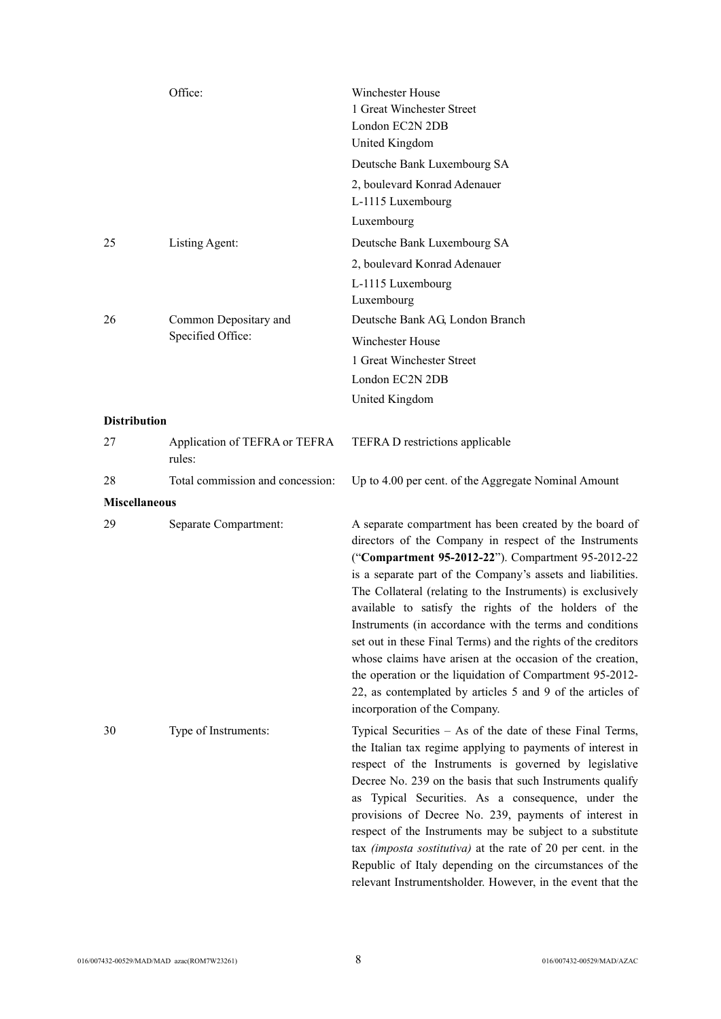|                      | Office:                                 | Winchester House<br>1 Great Winchester Street<br>London EC2N 2DB<br>United Kingdom                                                                                                                                                                                                                                                                                                                                                                                                                                                                                                                                                                                                                                  |
|----------------------|-----------------------------------------|---------------------------------------------------------------------------------------------------------------------------------------------------------------------------------------------------------------------------------------------------------------------------------------------------------------------------------------------------------------------------------------------------------------------------------------------------------------------------------------------------------------------------------------------------------------------------------------------------------------------------------------------------------------------------------------------------------------------|
|                      |                                         | Deutsche Bank Luxembourg SA                                                                                                                                                                                                                                                                                                                                                                                                                                                                                                                                                                                                                                                                                         |
|                      |                                         | 2, boulevard Konrad Adenauer<br>L-1115 Luxembourg<br>Luxembourg                                                                                                                                                                                                                                                                                                                                                                                                                                                                                                                                                                                                                                                     |
| 25                   | Listing Agent:                          | Deutsche Bank Luxembourg SA                                                                                                                                                                                                                                                                                                                                                                                                                                                                                                                                                                                                                                                                                         |
|                      |                                         | 2, boulevard Konrad Adenauer<br>L-1115 Luxembourg<br>Luxembourg                                                                                                                                                                                                                                                                                                                                                                                                                                                                                                                                                                                                                                                     |
| 26                   | Common Depositary and                   | Deutsche Bank AG, London Branch                                                                                                                                                                                                                                                                                                                                                                                                                                                                                                                                                                                                                                                                                     |
|                      | Specified Office:                       | <b>Winchester House</b>                                                                                                                                                                                                                                                                                                                                                                                                                                                                                                                                                                                                                                                                                             |
|                      |                                         | 1 Great Winchester Street                                                                                                                                                                                                                                                                                                                                                                                                                                                                                                                                                                                                                                                                                           |
|                      |                                         | London EC2N 2DB                                                                                                                                                                                                                                                                                                                                                                                                                                                                                                                                                                                                                                                                                                     |
|                      |                                         | United Kingdom                                                                                                                                                                                                                                                                                                                                                                                                                                                                                                                                                                                                                                                                                                      |
| <b>Distribution</b>  |                                         |                                                                                                                                                                                                                                                                                                                                                                                                                                                                                                                                                                                                                                                                                                                     |
| 27                   | Application of TEFRA or TEFRA<br>rules: | TEFRA D restrictions applicable                                                                                                                                                                                                                                                                                                                                                                                                                                                                                                                                                                                                                                                                                     |
| 28                   | Total commission and concession:        | Up to 4.00 per cent. of the Aggregate Nominal Amount                                                                                                                                                                                                                                                                                                                                                                                                                                                                                                                                                                                                                                                                |
| <b>Miscellaneous</b> |                                         |                                                                                                                                                                                                                                                                                                                                                                                                                                                                                                                                                                                                                                                                                                                     |
| 29                   | Separate Compartment:                   | A separate compartment has been created by the board of<br>directors of the Company in respect of the Instruments<br>("Compartment 95-2012-22"). Compartment 95-2012-22<br>is a separate part of the Company's assets and liabilities.<br>The Collateral (relating to the Instruments) is exclusively<br>available to satisfy the rights of the holders of the<br>Instruments (in accordance with the terms and conditions<br>set out in these Final Terms) and the rights of the creditors<br>whose claims have arisen at the occasion of the creation,<br>the operation or the liquidation of Compartment 95-2012-<br>22, as contemplated by articles 5 and 9 of the articles of<br>incorporation of the Company. |
| 30                   | Type of Instruments:                    | Typical Securities – As of the date of these Final Terms,<br>the Italian tax regime applying to payments of interest in<br>respect of the Instruments is governed by legislative<br>Decree No. 239 on the basis that such Instruments qualify<br>as Typical Securities. As a consequence, under the<br>provisions of Decree No. 239, payments of interest in<br>respect of the Instruments may be subject to a substitute<br>tax <i>(imposta sostitutiva)</i> at the rate of 20 per cent. in the<br>Republic of Italy depending on the circumstances of the<br>relevant Instrumentsholder. However, in the event that the                                                                                           |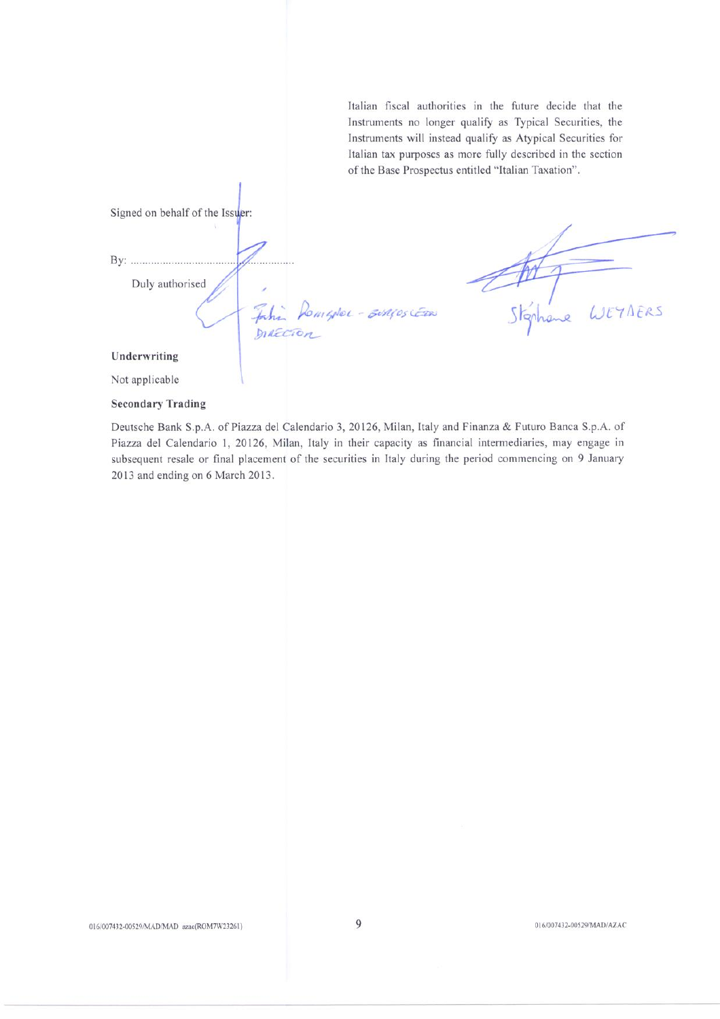Italian fiscal authorities in the future decide that the Instruments no longer qualify as Typical Securities, the Instruments will instead qualify as Atypical Securities for Italian tax purposes as more fully described in the section of the Base Prospectus entitled "Italian Taxation".

Signed on behalf of the Issuer: . . . . . . . . Duly authorised Stánhi WEYNERS BiAGOS CERN Jahin Romgoloc-**DIAECTO** Underwriting Not applicable

#### **Secondary Trading**

Deutsche Bank S.p.A. of Piazza del Calendario 3, 20126, Milan, Italy and Finanza & Futuro Banca S.p.A. of Piazza del Calendario 1, 20126, Milan, Italy in their capacity as financial intermediaries, may engage in subsequent resale or final placement of the securities in Italy during the period commencing on 9 January 2013 and ending on 6 March 2013.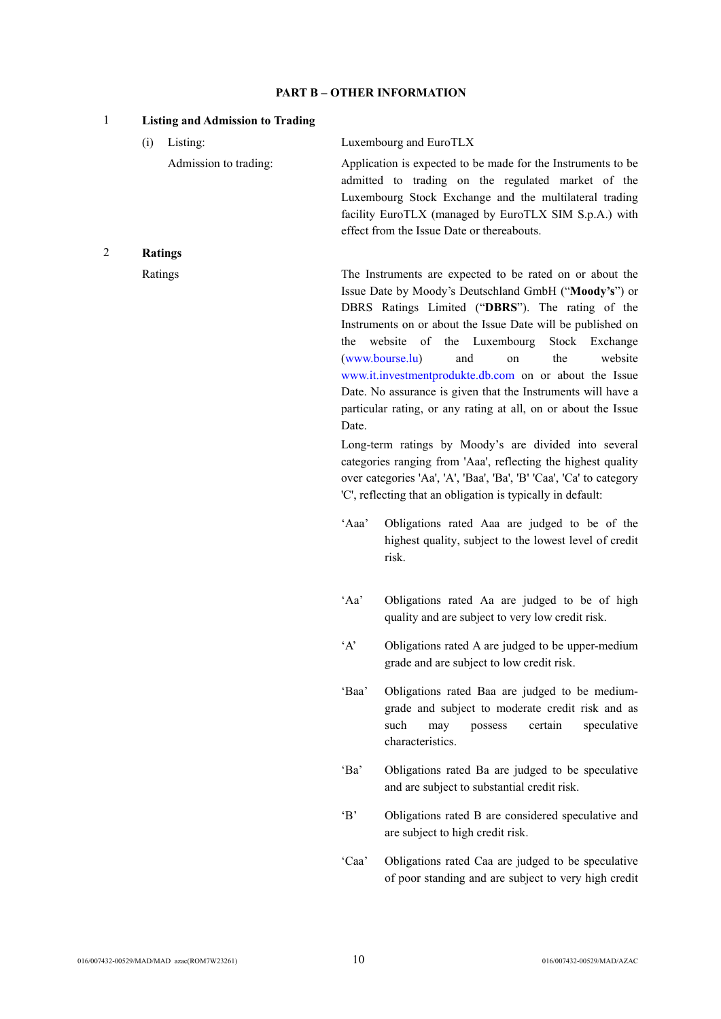## **PART B – OTHER INFORMATION**

| $\mathbf{1}$ | <b>Listing and Admission to Trading</b> |              |                                                                                                                                                                                                                                                                                                                                                                                                                                                                                                                                                                                                                                                                                                                                                                                                      |
|--------------|-----------------------------------------|--------------|------------------------------------------------------------------------------------------------------------------------------------------------------------------------------------------------------------------------------------------------------------------------------------------------------------------------------------------------------------------------------------------------------------------------------------------------------------------------------------------------------------------------------------------------------------------------------------------------------------------------------------------------------------------------------------------------------------------------------------------------------------------------------------------------------|
|              | Listing:<br>(i)                         |              | Luxembourg and EuroTLX                                                                                                                                                                                                                                                                                                                                                                                                                                                                                                                                                                                                                                                                                                                                                                               |
|              | Admission to trading:                   |              | Application is expected to be made for the Instruments to be<br>admitted to trading on the regulated market of the<br>Luxembourg Stock Exchange and the multilateral trading<br>facility EuroTLX (managed by EuroTLX SIM S.p.A.) with<br>effect from the Issue Date or thereabouts.                                                                                                                                                                                                                                                                                                                                                                                                                                                                                                                  |
| 2            | <b>Ratings</b>                          |              |                                                                                                                                                                                                                                                                                                                                                                                                                                                                                                                                                                                                                                                                                                                                                                                                      |
|              | Ratings                                 | the<br>Date. | The Instruments are expected to be rated on or about the<br>Issue Date by Moody's Deutschland GmbH ("Moody's") or<br>DBRS Ratings Limited ("DBRS"). The rating of the<br>Instruments on or about the Issue Date will be published on<br>of the Luxembourg<br>website<br>Stock Exchange<br>(www.bourse.lu)<br>the<br>and<br>website<br>on<br>www.it.investmentprodukte.db.com on or about the Issue<br>Date. No assurance is given that the Instruments will have a<br>particular rating, or any rating at all, on or about the Issue<br>Long-term ratings by Moody's are divided into several<br>categories ranging from 'Aaa', reflecting the highest quality<br>over categories 'Aa', 'A', 'Baa', 'Ba', 'B' 'Caa', 'Ca' to category<br>'C', reflecting that an obligation is typically in default: |
|              |                                         | 'Aaa'        | Obligations rated Aaa are judged to be of the<br>highest quality, subject to the lowest level of credit<br>risk.                                                                                                                                                                                                                                                                                                                                                                                                                                                                                                                                                                                                                                                                                     |
|              |                                         | 'Aa'         | Obligations rated Aa are judged to be of high<br>quality and are subject to very low credit risk.                                                                                                                                                                                                                                                                                                                                                                                                                                                                                                                                                                                                                                                                                                    |
|              |                                         | A            | Obligations rated A are judged to be upper-medium<br>grade and are subject to low credit risk.                                                                                                                                                                                                                                                                                                                                                                                                                                                                                                                                                                                                                                                                                                       |
|              |                                         | 'Baa'        | Obligations rated Baa are judged to be medium-<br>grade and subject to moderate credit risk and as<br>such<br>certain<br>may<br>possess<br>speculative<br>characteristics.                                                                                                                                                                                                                                                                                                                                                                                                                                                                                                                                                                                                                           |
|              |                                         | 'Ba'         | Obligations rated Ba are judged to be speculative<br>and are subject to substantial credit risk.                                                                                                                                                                                                                                                                                                                                                                                                                                                                                                                                                                                                                                                                                                     |

'B' Obligations rated B are considered speculative and are subject to high credit risk.

'Caa' Obligations rated Caa are judged to be speculative of poor standing and are subject to very high credit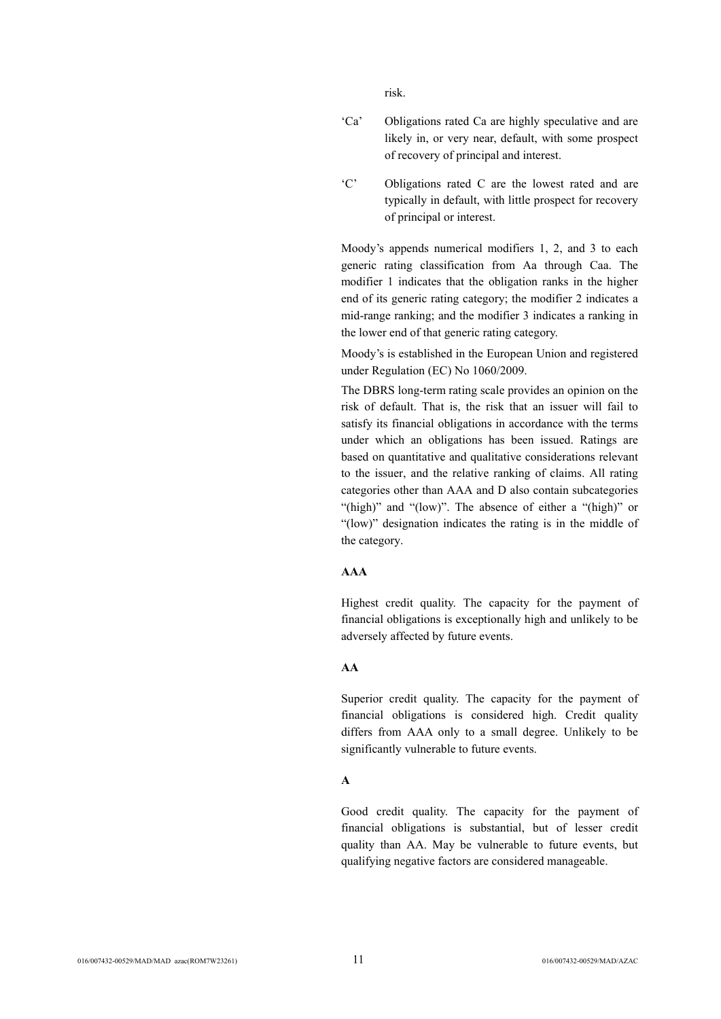risk.

- 'Ca' Obligations rated Ca are highly speculative and are likely in, or very near, default, with some prospect of recovery of principal and interest.
- 'C' Obligations rated C are the lowest rated and are typically in default, with little prospect for recovery of principal or interest.

Moody's appends numerical modifiers 1, 2, and 3 to each generic rating classification from Aa through Caa. The modifier 1 indicates that the obligation ranks in the higher end of its generic rating category; the modifier 2 indicates a mid-range ranking; and the modifier 3 indicates a ranking in the lower end of that generic rating category.

Moody's is established in the European Union and registered under Regulation (EC) No 1060/2009.

The DBRS long-term rating scale provides an opinion on the risk of default. That is, the risk that an issuer will fail to satisfy its financial obligations in accordance with the terms under which an obligations has been issued. Ratings are based on quantitative and qualitative considerations relevant to the issuer, and the relative ranking of claims. All rating categories other than AAA and D also contain subcategories "(high)" and "(low)". The absence of either a "(high)" or "(low)" designation indicates the rating is in the middle of the category.

## **AAA**

Highest credit quality. The capacity for the payment of financial obligations is exceptionally high and unlikely to be adversely affected by future events.

## **AA**

Superior credit quality. The capacity for the payment of financial obligations is considered high. Credit quality differs from AAA only to a small degree. Unlikely to be significantly vulnerable to future events.

### **A**

Good credit quality. The capacity for the payment of financial obligations is substantial, but of lesser credit quality than AA. May be vulnerable to future events, but qualifying negative factors are considered manageable.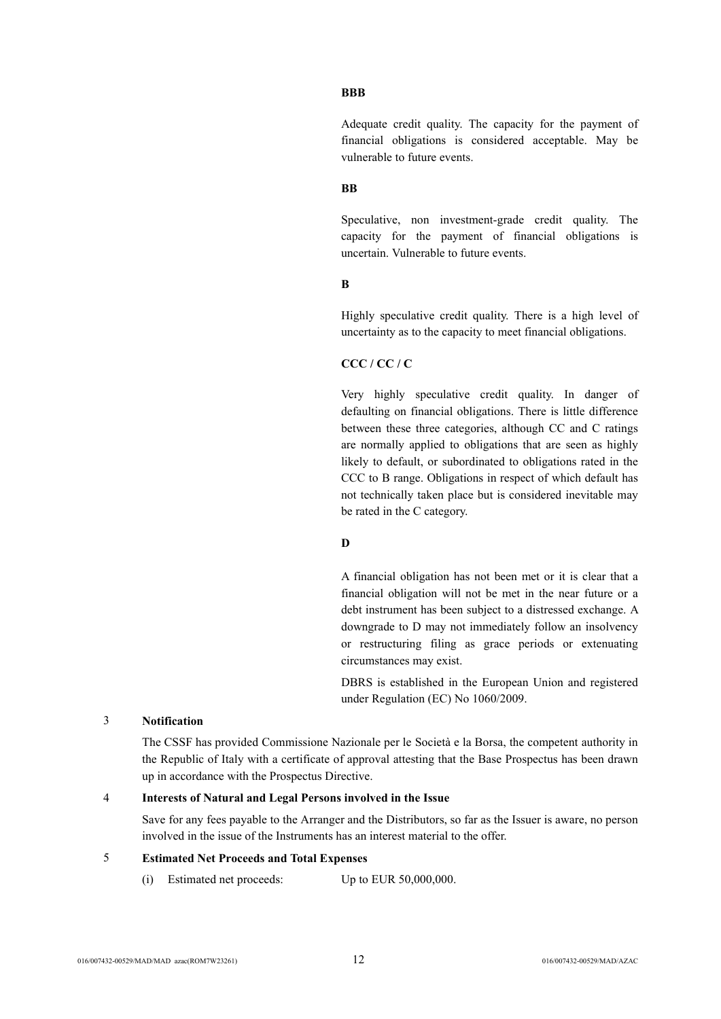#### **BBB**

Adequate credit quality. The capacity for the payment of financial obligations is considered acceptable. May be vulnerable to future events.

## **BB**

Speculative, non investment-grade credit quality. The capacity for the payment of financial obligations is uncertain. Vulnerable to future events.

## **B**

Highly speculative credit quality. There is a high level of uncertainty as to the capacity to meet financial obligations.

#### **CCC / CC / C**

Very highly speculative credit quality. In danger of defaulting on financial obligations. There is little difference between these three categories, although CC and C ratings are normally applied to obligations that are seen as highly likely to default, or subordinated to obligations rated in the CCC to B range. Obligations in respect of which default has not technically taken place but is considered inevitable may be rated in the C category.

### **D**

A financial obligation has not been met or it is clear that a financial obligation will not be met in the near future or a debt instrument has been subject to a distressed exchange. A downgrade to D may not immediately follow an insolvency or restructuring filing as grace periods or extenuating circumstances may exist.

DBRS is established in the European Union and registered under Regulation (EC) No 1060/2009.

## 3 **Notification**

The CSSF has provided Commissione Nazionale per le Società e la Borsa, the competent authority in the Republic of Italy with a certificate of approval attesting that the Base Prospectus has been drawn up in accordance with the Prospectus Directive.

#### 4 **Interests of Natural and Legal Persons involved in the Issue**

Save for any fees payable to the Arranger and the Distributors, so far as the Issuer is aware, no person involved in the issue of the Instruments has an interest material to the offer.

## 5 **Estimated Net Proceeds and Total Expenses**

(i) Estimated net proceeds: Up to EUR 50,000,000.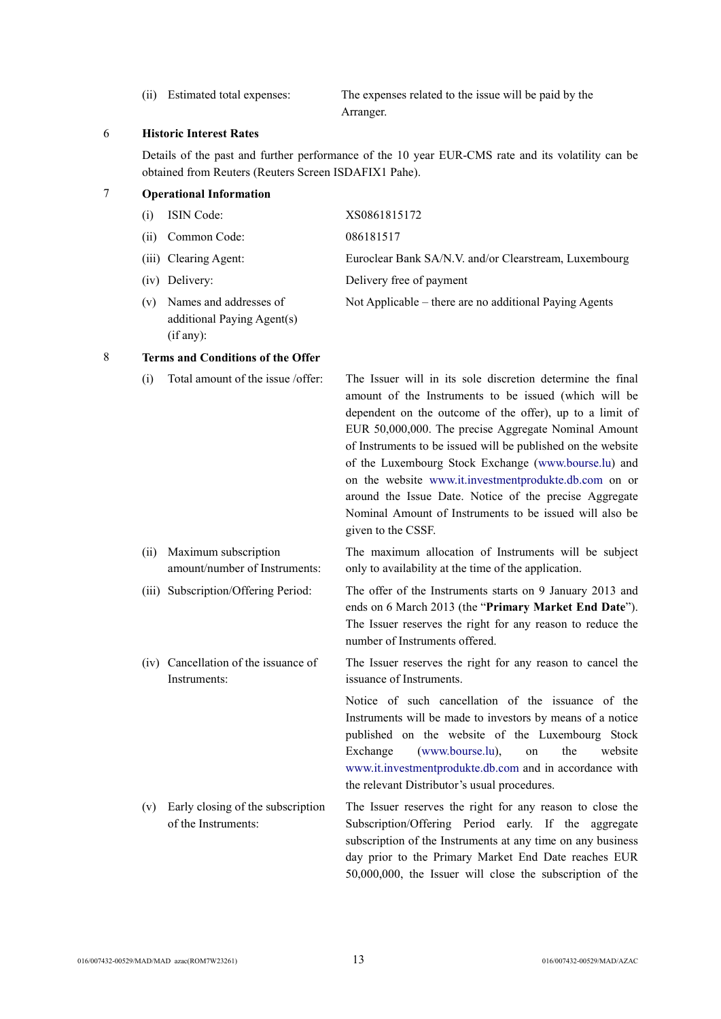(ii) Estimated total expenses: The expenses related to the issue will be paid by the Arranger.

### 6 **Historic Interest Rates**

Details of the past and further performance of the 10 year EUR-CMS rate and its volatility can be obtained from Reuters (Reuters Screen ISDAFIX1 Pahe).

### 7 **Operational Information**

| (i) | <b>ISIN</b> Code:                                    | XS0861815172                                           |
|-----|------------------------------------------------------|--------------------------------------------------------|
| (i) | Common Code:                                         | 086181517                                              |
|     | (iii) Clearing Agent:                                | Euroclear Bank SA/N.V. and/or Clearstream, Luxembourg  |
|     | (iv) Delivery:                                       | Delivery free of payment                               |
| (v) | Names and addresses of<br>additional Paying Agent(s) | Not Applicable – there are no additional Paying Agents |

(if any):

## 8 **Terms and Conditions of the Offer**

(i) Total amount of the issue /offer: The Issuer will in its sole discretion determine the final amount of the Instruments to be issued (which will be dependent on the outcome of the offer), up to a limit of EUR 50,000,000. The precise Aggregate Nominal Amount of Instruments to be issued will be published on the website of the Luxembourg Stock Exchange ([www.bourse.lu\)](http://www.bourse.lu/) and on the website [www.it.investmentprodukte.db.com](http://www.it.investmentprodukte.db.com/) on or around the Issue Date. Notice of the precise Aggregate Nominal Amount of Instruments to be issued will also be given to the CSSF.

- (ii) Maximum subscription amount/number of Instruments:
- 
- (iv) Cancellation of the issuance of Instruments:

(v) Early closing of the subscription of the Instruments:

The maximum allocation of Instruments will be subject only to availability at the time of the application.

(iii) Subscription/Offering Period: The offer of the Instruments starts on 9 January 2013 and ends on 6 March 2013 (the "**Primary Market End Date**"). The Issuer reserves the right for any reason to reduce the number of Instruments offered.

> The Issuer reserves the right for any reason to cancel the issuance of Instruments.

Notice of such cancellation of the issuance of the Instruments will be made to investors by means of a notice published on the website of the Luxembourg Stock Exchange [\(www.bourse.lu\)](http://www.bourse.lu/), on the website [www.it.investmentprodukte.db.com](http://www.it.investmentprodukte.db.com/) and in accordance with the relevant Distributor's usual procedures.

The Issuer reserves the right for any reason to close the Subscription/Offering Period early. If the aggregate subscription of the Instruments at any time on any business day prior to the Primary Market End Date reaches EUR 50,000,000, the Issuer will close the subscription of the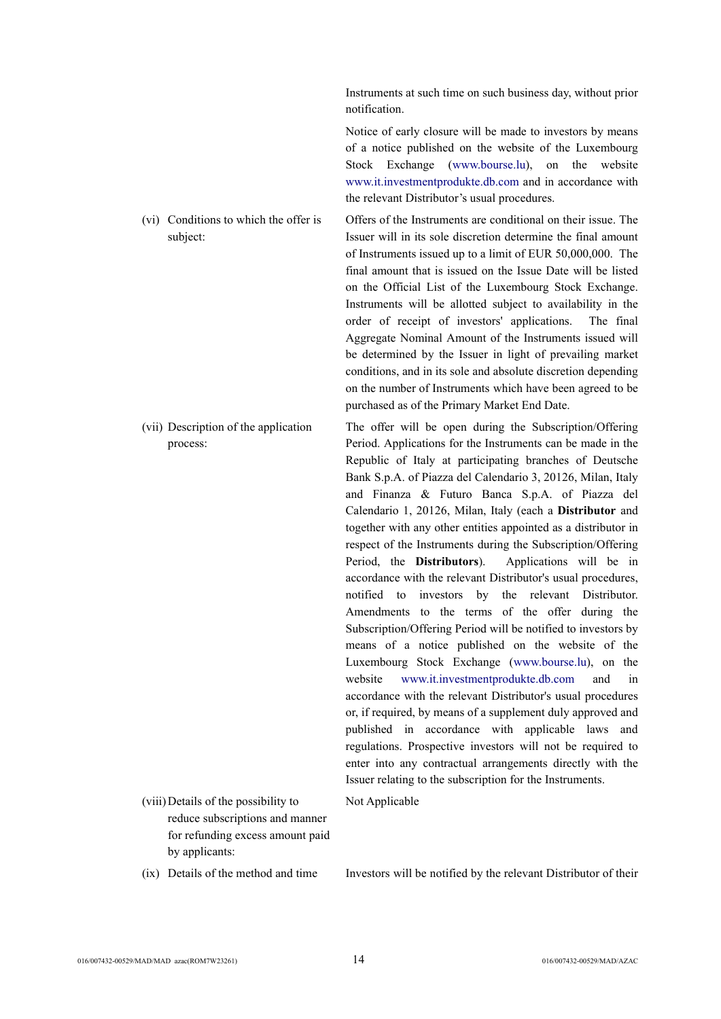Instruments at such time on such business day, without prior notification.

Notice of early closure will be made to investors by means of a notice published on the website of the Luxembourg Stock Exchange ([www.bourse.lu](http://www.bourse.lu/)), on the website [www.it.investmentprodukte.db.com](http://www.it.investmentprodukte.db.com/) and in accordance with the relevant Distributor's usual procedures.

- (vi) Conditions to which the offer is subject: Offers of the Instruments are conditional on their issue. The Issuer will in its sole discretion determine the final amount of Instruments issued up to a limit of EUR 50,000,000. The final amount that is issued on the Issue Date will be listed on the Official List of the Luxembourg Stock Exchange. Instruments will be allotted subject to availability in the order of receipt of investors' applications. The final Aggregate Nominal Amount of the Instruments issued will be determined by the Issuer in light of prevailing market conditions, and in its sole and absolute discretion depending on the number of Instruments which have been agreed to be purchased as of the Primary Market End Date.
- (vii) Description of the application The offer will be open during the Subscription/Offering Period. Applications for the Instruments can be made in the Republic of Italy at participating branches of Deutsche Bank S.p.A. of Piazza del Calendario 3, 20126, Milan, Italy and Finanza & Futuro Banca S.p.A. of Piazza del Calendario 1, 20126, Milan, Italy (each a **Distributor** and together with any other entities appointed as a distributor in respect of the Instruments during the Subscription/Offering Period, the **Distributors**). Applications will be in accordance with the relevant Distributor's usual procedures, notified to investors by the relevant Distributor. Amendments to the terms of the offer during the Subscription/Offering Period will be notified to investors by means of a notice published on the website of the Luxembourg Stock Exchange [\(www.bourse.lu](http://www.bourse.lu/)), on the website [www.it.investmentprodukte.db.com](http://www.it.investmentprodukte.db.com/) and in accordance with the relevant Distributor's usual procedures or, if required, by means of a supplement duly approved and published in accordance with applicable laws and regulations. Prospective investors will not be required to enter into any contractual arrangements directly with the Issuer relating to the subscription for the Instruments.
- (viii)Details of the possibility to reduce subscriptions and manner for refunding excess amount paid by applicants:

process:

(ix) Details of the method and time Investors will be notified by the relevant Distributor of their

Not Applicable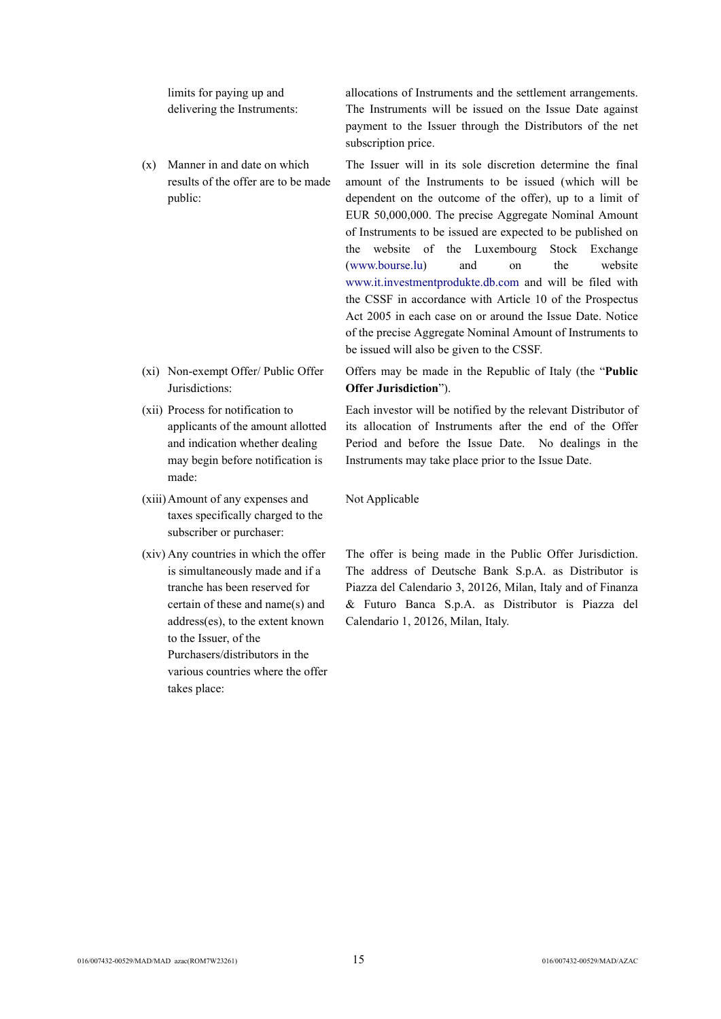limits for paying up and delivering the Instruments:

(x) Manner in and date on which results of the offer are to be made public:

- (xi) Non-exempt Offer/ Public Offer Jurisdictions:
- (xii) Process for notification to applicants of the amount allotted and indication whether dealing may begin before notification is made:
- (xiii)Amount of any expenses and taxes specifically charged to the subscriber or purchaser:
- (xiv) Any countries in which the offer is simultaneously made and if a tranche has been reserved for certain of these and name(s) and address(es), to the extent known to the Issuer, of the Purchasers/distributors in the various countries where the offer takes place:

allocations of Instruments and the settlement arrangements. The Instruments will be issued on the Issue Date against payment to the Issuer through the Distributors of the net subscription price.

The Issuer will in its sole discretion determine the final amount of the Instruments to be issued (which will be dependent on the outcome of the offer), up to a limit of EUR 50,000,000. The precise Aggregate Nominal Amount of Instruments to be issued are expected to be published on the website of the Luxembourg Stock Exchange ([www.bourse.lu](http://www.bourse.lu/)) and on the website [www.it.investmentprodukte.db.com](http://www.it.investmentprodukte.db.com/) and will be filed with the CSSF in accordance with Article 10 of the Prospectus Act 2005 in each case on or around the Issue Date. Notice of the precise Aggregate Nominal Amount of Instruments to be issued will also be given to the CSSF.

Offers may be made in the Republic of Italy (the "**Public Offer Jurisdiction**").

Each investor will be notified by the relevant Distributor of its allocation of Instruments after the end of the Offer Period and before the Issue Date. No dealings in the Instruments may take place prior to the Issue Date.

Not Applicable

The offer is being made in the Public Offer Jurisdiction. The address of Deutsche Bank S.p.A. as Distributor is Piazza del Calendario 3, 20126, Milan, Italy and of Finanza & Futuro Banca S.p.A. as Distributor is Piazza del Calendario 1, 20126, Milan, Italy.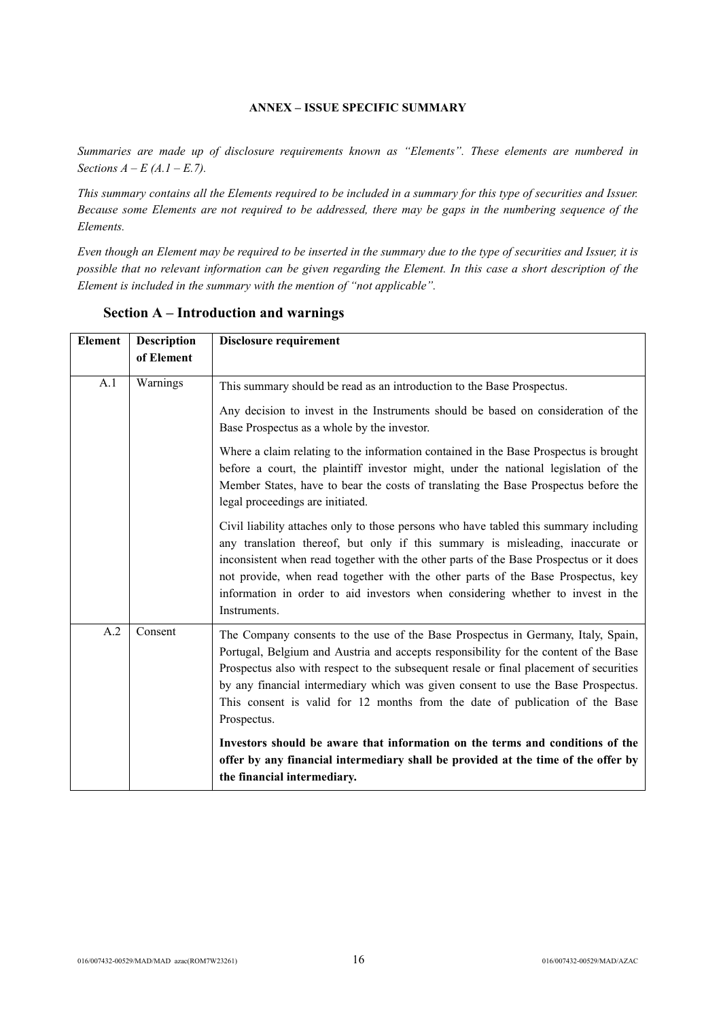## **ANNEX – ISSUE SPECIFIC SUMMARY**

*Summaries are made up of disclosure requirements known as "Elements". These elements are numbered in Sections A – E (A.1 – E.7).*

*This summary contains all the Elements required to be included in a summary for this type of securities and Issuer. Because some Elements are not required to be addressed, there may be gaps in the numbering sequence of the Elements.*

*Even though an Element may be required to be inserted in the summary due to the type of securities and Issuer, it is possible that no relevant information can be given regarding the Element. In this case a short description of the Element is included in the summary with the mention of "not applicable".*

| <b>Description</b><br>Element<br>of Element |          | <b>Disclosure requirement</b>                                                                                                                                                                                                                                                                                                                                                                                                                            |  |  |
|---------------------------------------------|----------|----------------------------------------------------------------------------------------------------------------------------------------------------------------------------------------------------------------------------------------------------------------------------------------------------------------------------------------------------------------------------------------------------------------------------------------------------------|--|--|
|                                             |          |                                                                                                                                                                                                                                                                                                                                                                                                                                                          |  |  |
| A.1                                         | Warnings | This summary should be read as an introduction to the Base Prospectus.                                                                                                                                                                                                                                                                                                                                                                                   |  |  |
|                                             |          | Any decision to invest in the Instruments should be based on consideration of the<br>Base Prospectus as a whole by the investor.                                                                                                                                                                                                                                                                                                                         |  |  |
|                                             |          | Where a claim relating to the information contained in the Base Prospectus is brought<br>before a court, the plaintiff investor might, under the national legislation of the<br>Member States, have to bear the costs of translating the Base Prospectus before the<br>legal proceedings are initiated.                                                                                                                                                  |  |  |
|                                             |          | Civil liability attaches only to those persons who have tabled this summary including<br>any translation thereof, but only if this summary is misleading, inaccurate or<br>inconsistent when read together with the other parts of the Base Prospectus or it does<br>not provide, when read together with the other parts of the Base Prospectus, key<br>information in order to aid investors when considering whether to invest in the<br>Instruments. |  |  |
| A.2                                         | Consent  | The Company consents to the use of the Base Prospectus in Germany, Italy, Spain,<br>Portugal, Belgium and Austria and accepts responsibility for the content of the Base<br>Prospectus also with respect to the subsequent resale or final placement of securities<br>by any financial intermediary which was given consent to use the Base Prospectus.<br>This consent is valid for 12 months from the date of publication of the Base<br>Prospectus.   |  |  |
|                                             |          | Investors should be aware that information on the terms and conditions of the<br>offer by any financial intermediary shall be provided at the time of the offer by<br>the financial intermediary.                                                                                                                                                                                                                                                        |  |  |

## **Section A – Introduction and warnings**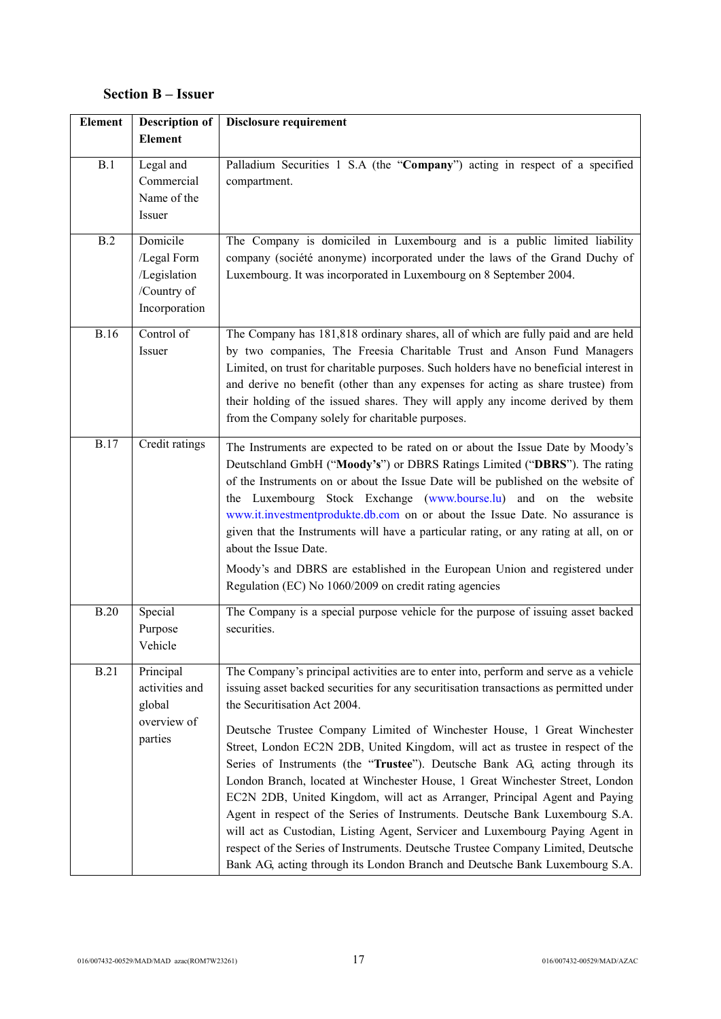# **Section B – Issuer**

| <b>Element</b> | <b>Description of</b><br><b>Element</b>                                 | <b>Disclosure requirement</b>                                                                                                                                                                                                                                                                                                                                                                                                                                                                                                                                                                                                                                                                                                                                                                                                                                                                                                                                  |  |
|----------------|-------------------------------------------------------------------------|----------------------------------------------------------------------------------------------------------------------------------------------------------------------------------------------------------------------------------------------------------------------------------------------------------------------------------------------------------------------------------------------------------------------------------------------------------------------------------------------------------------------------------------------------------------------------------------------------------------------------------------------------------------------------------------------------------------------------------------------------------------------------------------------------------------------------------------------------------------------------------------------------------------------------------------------------------------|--|
| B.1            | Legal and<br>Commercial<br>Name of the<br>Issuer                        | Palladium Securities 1 S.A (the "Company") acting in respect of a specified<br>compartment.                                                                                                                                                                                                                                                                                                                                                                                                                                                                                                                                                                                                                                                                                                                                                                                                                                                                    |  |
| B.2            | Domicile<br>/Legal Form<br>/Legislation<br>/Country of<br>Incorporation | The Company is domiciled in Luxembourg and is a public limited liability<br>company (société anonyme) incorporated under the laws of the Grand Duchy of<br>Luxembourg. It was incorporated in Luxembourg on 8 September 2004.                                                                                                                                                                                                                                                                                                                                                                                                                                                                                                                                                                                                                                                                                                                                  |  |
| <b>B.16</b>    | Control of<br>Issuer                                                    | The Company has 181,818 ordinary shares, all of which are fully paid and are held<br>by two companies, The Freesia Charitable Trust and Anson Fund Managers<br>Limited, on trust for charitable purposes. Such holders have no beneficial interest in<br>and derive no benefit (other than any expenses for acting as share trustee) from<br>their holding of the issued shares. They will apply any income derived by them<br>from the Company solely for charitable purposes.                                                                                                                                                                                                                                                                                                                                                                                                                                                                                |  |
| <b>B.17</b>    | Credit ratings                                                          | The Instruments are expected to be rated on or about the Issue Date by Moody's<br>Deutschland GmbH ("Moody's") or DBRS Ratings Limited ("DBRS"). The rating<br>of the Instruments on or about the Issue Date will be published on the website of<br>the Luxembourg Stock Exchange (www.bourse.lu) and on the website<br>www.it.investmentprodukte.db.com on or about the Issue Date. No assurance is<br>given that the Instruments will have a particular rating, or any rating at all, on or<br>about the Issue Date.<br>Moody's and DBRS are established in the European Union and registered under<br>Regulation (EC) No 1060/2009 on credit rating agencies                                                                                                                                                                                                                                                                                                |  |
| <b>B.20</b>    | Special<br>Purpose<br>Vehicle                                           | The Company is a special purpose vehicle for the purpose of issuing asset backed<br>securities.                                                                                                                                                                                                                                                                                                                                                                                                                                                                                                                                                                                                                                                                                                                                                                                                                                                                |  |
| <b>B.21</b>    | Principal<br>activities and<br>global<br>overview of<br>parties         | The Company's principal activities are to enter into, perform and serve as a vehicle<br>issuing asset backed securities for any securitisation transactions as permitted under<br>the Securitisation Act 2004.<br>Deutsche Trustee Company Limited of Winchester House, 1 Great Winchester<br>Street, London EC2N 2DB, United Kingdom, will act as trustee in respect of the<br>Series of Instruments (the "Trustee"). Deutsche Bank AG, acting through its<br>London Branch, located at Winchester House, 1 Great Winchester Street, London<br>EC2N 2DB, United Kingdom, will act as Arranger, Principal Agent and Paying<br>Agent in respect of the Series of Instruments. Deutsche Bank Luxembourg S.A.<br>will act as Custodian, Listing Agent, Servicer and Luxembourg Paying Agent in<br>respect of the Series of Instruments. Deutsche Trustee Company Limited, Deutsche<br>Bank AG, acting through its London Branch and Deutsche Bank Luxembourg S.A. |  |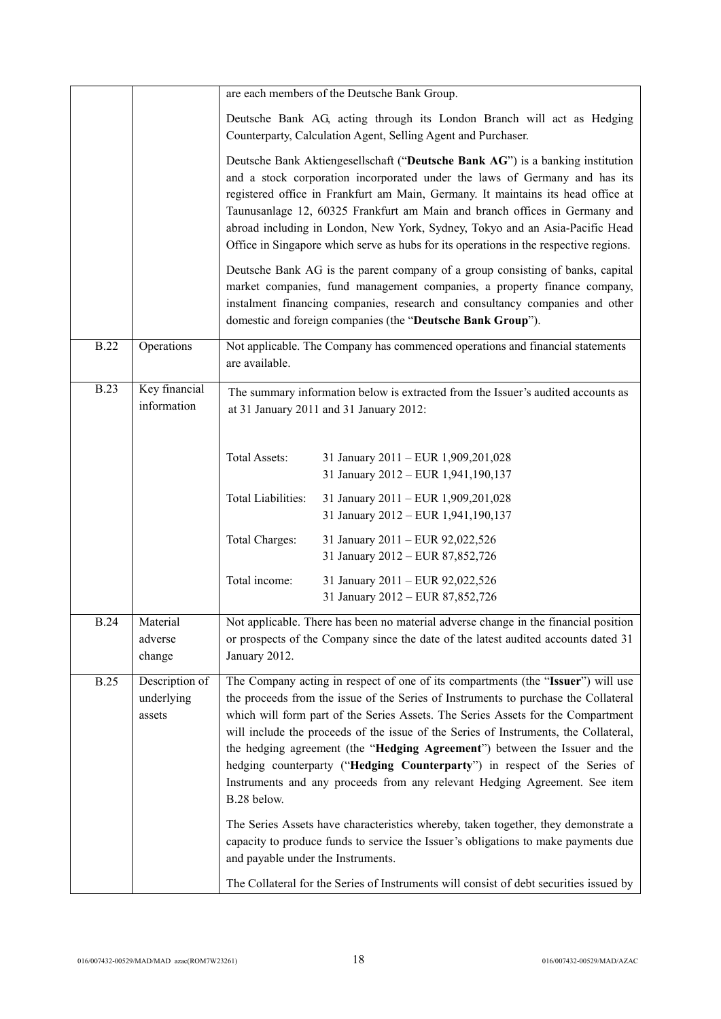|             |                                        | are each members of the Deutsche Bank Group.                                                                                                                                                                                                                                                                                                                                                                                                                                                            |                                                                                                                                                                                                                                                                                                                                                                                                                                                                                                                                                                                                                                                                                                                                                                                                                                                                    |  |  |
|-------------|----------------------------------------|---------------------------------------------------------------------------------------------------------------------------------------------------------------------------------------------------------------------------------------------------------------------------------------------------------------------------------------------------------------------------------------------------------------------------------------------------------------------------------------------------------|--------------------------------------------------------------------------------------------------------------------------------------------------------------------------------------------------------------------------------------------------------------------------------------------------------------------------------------------------------------------------------------------------------------------------------------------------------------------------------------------------------------------------------------------------------------------------------------------------------------------------------------------------------------------------------------------------------------------------------------------------------------------------------------------------------------------------------------------------------------------|--|--|
|             |                                        | Deutsche Bank AG, acting through its London Branch will act as Hedging<br>Counterparty, Calculation Agent, Selling Agent and Purchaser.                                                                                                                                                                                                                                                                                                                                                                 |                                                                                                                                                                                                                                                                                                                                                                                                                                                                                                                                                                                                                                                                                                                                                                                                                                                                    |  |  |
|             |                                        | Deutsche Bank Aktiengesellschaft ("Deutsche Bank AG") is a banking institution<br>and a stock corporation incorporated under the laws of Germany and has its<br>registered office in Frankfurt am Main, Germany. It maintains its head office at<br>Taunusanlage 12, 60325 Frankfurt am Main and branch offices in Germany and<br>abroad including in London, New York, Sydney, Tokyo and an Asia-Pacific Head<br>Office in Singapore which serve as hubs for its operations in the respective regions. |                                                                                                                                                                                                                                                                                                                                                                                                                                                                                                                                                                                                                                                                                                                                                                                                                                                                    |  |  |
|             |                                        | Deutsche Bank AG is the parent company of a group consisting of banks, capital<br>market companies, fund management companies, a property finance company,<br>instalment financing companies, research and consultancy companies and other<br>domestic and foreign companies (the "Deutsche Bank Group").                                                                                                                                                                                               |                                                                                                                                                                                                                                                                                                                                                                                                                                                                                                                                                                                                                                                                                                                                                                                                                                                                    |  |  |
| <b>B.22</b> | Operations                             | are available.                                                                                                                                                                                                                                                                                                                                                                                                                                                                                          | Not applicable. The Company has commenced operations and financial statements                                                                                                                                                                                                                                                                                                                                                                                                                                                                                                                                                                                                                                                                                                                                                                                      |  |  |
| <b>B.23</b> | Key financial<br>information           |                                                                                                                                                                                                                                                                                                                                                                                                                                                                                                         | The summary information below is extracted from the Issuer's audited accounts as<br>at 31 January 2011 and 31 January 2012:                                                                                                                                                                                                                                                                                                                                                                                                                                                                                                                                                                                                                                                                                                                                        |  |  |
|             |                                        | <b>Total Assets:</b>                                                                                                                                                                                                                                                                                                                                                                                                                                                                                    | 31 January 2011 - EUR 1,909,201,028<br>31 January 2012 - EUR 1,941,190,137                                                                                                                                                                                                                                                                                                                                                                                                                                                                                                                                                                                                                                                                                                                                                                                         |  |  |
|             |                                        | Total Liabilities:                                                                                                                                                                                                                                                                                                                                                                                                                                                                                      | 31 January 2011 - EUR 1,909,201,028<br>31 January 2012 - EUR 1,941,190,137                                                                                                                                                                                                                                                                                                                                                                                                                                                                                                                                                                                                                                                                                                                                                                                         |  |  |
|             |                                        | Total Charges:                                                                                                                                                                                                                                                                                                                                                                                                                                                                                          | 31 January 2011 - EUR 92,022,526<br>31 January 2012 - EUR 87,852,726                                                                                                                                                                                                                                                                                                                                                                                                                                                                                                                                                                                                                                                                                                                                                                                               |  |  |
|             |                                        | Total income:                                                                                                                                                                                                                                                                                                                                                                                                                                                                                           | 31 January 2011 - EUR 92,022,526<br>31 January 2012 - EUR 87,852,726                                                                                                                                                                                                                                                                                                                                                                                                                                                                                                                                                                                                                                                                                                                                                                                               |  |  |
| <b>B.24</b> | Material<br>adverse<br>change          | January 2012.                                                                                                                                                                                                                                                                                                                                                                                                                                                                                           | Not applicable. There has been no material adverse change in the financial position<br>or prospects of the Company since the date of the latest audited accounts dated 31                                                                                                                                                                                                                                                                                                                                                                                                                                                                                                                                                                                                                                                                                          |  |  |
| <b>B.25</b> | Description of<br>underlying<br>assets | B.28 below.<br>and payable under the Instruments.                                                                                                                                                                                                                                                                                                                                                                                                                                                       | The Company acting in respect of one of its compartments (the "Issuer") will use<br>the proceeds from the issue of the Series of Instruments to purchase the Collateral<br>which will form part of the Series Assets. The Series Assets for the Compartment<br>will include the proceeds of the issue of the Series of Instruments, the Collateral,<br>the hedging agreement (the "Hedging Agreement") between the Issuer and the<br>hedging counterparty ("Hedging Counterparty") in respect of the Series of<br>Instruments and any proceeds from any relevant Hedging Agreement. See item<br>The Series Assets have characteristics whereby, taken together, they demonstrate a<br>capacity to produce funds to service the Issuer's obligations to make payments due<br>The Collateral for the Series of Instruments will consist of debt securities issued by |  |  |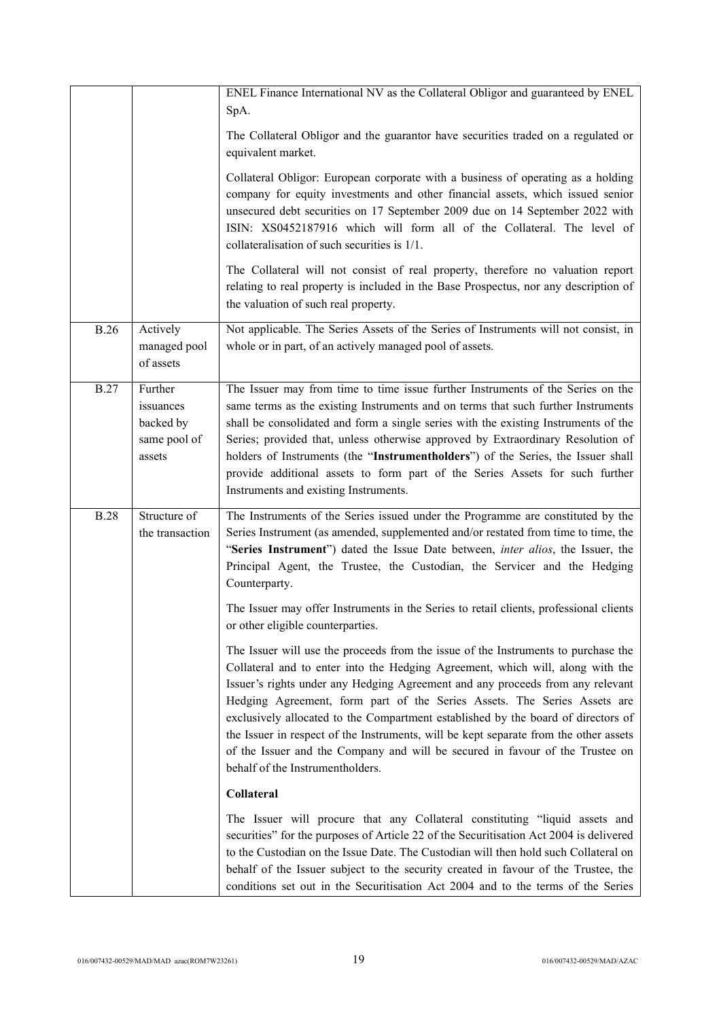|             |                                                             | ENEL Finance International NV as the Collateral Obligor and guaranteed by ENEL<br>SpA.                                                                                                                                                                                                                                                                                                                                                                                                                                                                                                                                                |
|-------------|-------------------------------------------------------------|---------------------------------------------------------------------------------------------------------------------------------------------------------------------------------------------------------------------------------------------------------------------------------------------------------------------------------------------------------------------------------------------------------------------------------------------------------------------------------------------------------------------------------------------------------------------------------------------------------------------------------------|
|             |                                                             | The Collateral Obligor and the guarantor have securities traded on a regulated or<br>equivalent market.                                                                                                                                                                                                                                                                                                                                                                                                                                                                                                                               |
|             |                                                             | Collateral Obligor: European corporate with a business of operating as a holding<br>company for equity investments and other financial assets, which issued senior<br>unsecured debt securities on 17 September 2009 due on 14 September 2022 with<br>ISIN: XS0452187916 which will form all of the Collateral. The level of<br>collateralisation of such securities is 1/1.                                                                                                                                                                                                                                                          |
|             |                                                             | The Collateral will not consist of real property, therefore no valuation report<br>relating to real property is included in the Base Prospectus, nor any description of<br>the valuation of such real property.                                                                                                                                                                                                                                                                                                                                                                                                                       |
| <b>B.26</b> | Actively<br>managed pool<br>of assets                       | Not applicable. The Series Assets of the Series of Instruments will not consist, in<br>whole or in part, of an actively managed pool of assets.                                                                                                                                                                                                                                                                                                                                                                                                                                                                                       |
| <b>B.27</b> | Further<br>issuances<br>backed by<br>same pool of<br>assets | The Issuer may from time to time issue further Instruments of the Series on the<br>same terms as the existing Instruments and on terms that such further Instruments<br>shall be consolidated and form a single series with the existing Instruments of the<br>Series; provided that, unless otherwise approved by Extraordinary Resolution of<br>holders of Instruments (the "Instrumentholders") of the Series, the Issuer shall<br>provide additional assets to form part of the Series Assets for such further<br>Instruments and existing Instruments.                                                                           |
| <b>B.28</b> | Structure of<br>the transaction                             | The Instruments of the Series issued under the Programme are constituted by the<br>Series Instrument (as amended, supplemented and/or restated from time to time, the<br>"Series Instrument") dated the Issue Date between, <i>inter alios</i> , the Issuer, the<br>Principal Agent, the Trustee, the Custodian, the Servicer and the Hedging<br>Counterparty.                                                                                                                                                                                                                                                                        |
|             |                                                             | The Issuer may offer Instruments in the Series to retail clients, professional clients<br>or other eligible counterparties.                                                                                                                                                                                                                                                                                                                                                                                                                                                                                                           |
|             |                                                             | The Issuer will use the proceeds from the issue of the Instruments to purchase the<br>Collateral and to enter into the Hedging Agreement, which will, along with the<br>Issuer's rights under any Hedging Agreement and any proceeds from any relevant<br>Hedging Agreement, form part of the Series Assets. The Series Assets are<br>exclusively allocated to the Compartment established by the board of directors of<br>the Issuer in respect of the Instruments, will be kept separate from the other assets<br>of the Issuer and the Company and will be secured in favour of the Trustee on<br>behalf of the Instrumentholders. |
|             |                                                             | Collateral                                                                                                                                                                                                                                                                                                                                                                                                                                                                                                                                                                                                                            |
|             |                                                             | The Issuer will procure that any Collateral constituting "liquid assets and<br>securities" for the purposes of Article 22 of the Securitisation Act 2004 is delivered<br>to the Custodian on the Issue Date. The Custodian will then hold such Collateral on<br>behalf of the Issuer subject to the security created in favour of the Trustee, the<br>conditions set out in the Securitisation Act 2004 and to the terms of the Series                                                                                                                                                                                                |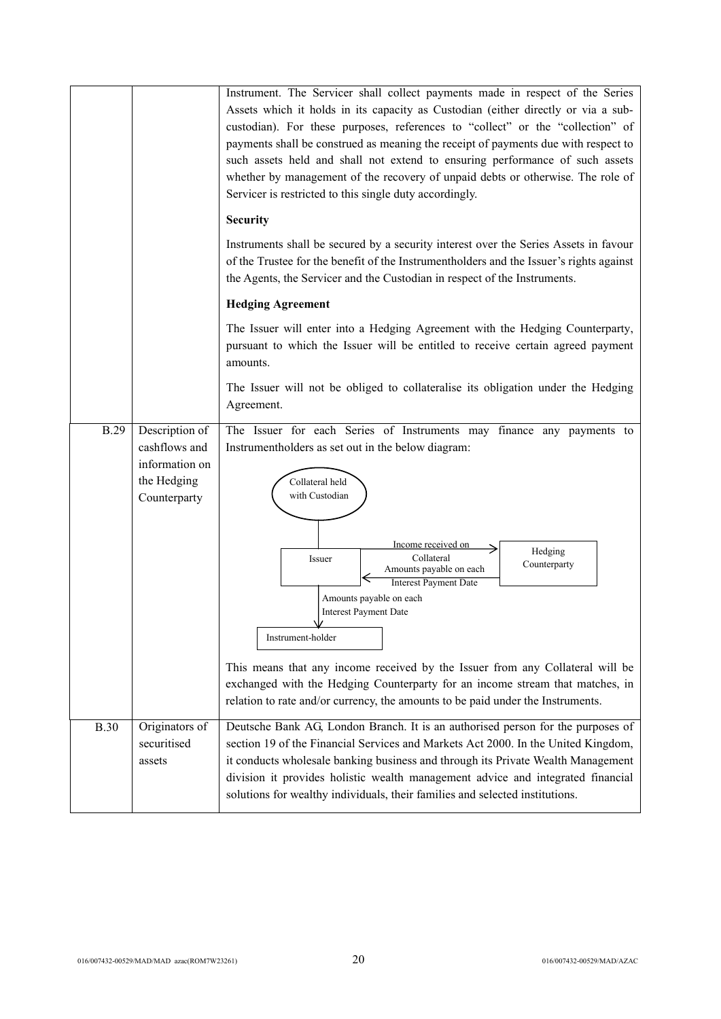|             |                                                                                  | Instrument. The Servicer shall collect payments made in respect of the Series<br>Assets which it holds in its capacity as Custodian (either directly or via a sub-<br>custodian). For these purposes, references to "collect" or the "collection" of<br>payments shall be construed as meaning the receipt of payments due with respect to<br>such assets held and shall not extend to ensuring performance of such assets<br>whether by management of the recovery of unpaid debts or otherwise. The role of<br>Servicer is restricted to this single duty accordingly.                                                                  |
|-------------|----------------------------------------------------------------------------------|-------------------------------------------------------------------------------------------------------------------------------------------------------------------------------------------------------------------------------------------------------------------------------------------------------------------------------------------------------------------------------------------------------------------------------------------------------------------------------------------------------------------------------------------------------------------------------------------------------------------------------------------|
|             |                                                                                  | <b>Security</b>                                                                                                                                                                                                                                                                                                                                                                                                                                                                                                                                                                                                                           |
|             |                                                                                  | Instruments shall be secured by a security interest over the Series Assets in favour<br>of the Trustee for the benefit of the Instrumentholders and the Issuer's rights against<br>the Agents, the Servicer and the Custodian in respect of the Instruments.                                                                                                                                                                                                                                                                                                                                                                              |
|             |                                                                                  | <b>Hedging Agreement</b>                                                                                                                                                                                                                                                                                                                                                                                                                                                                                                                                                                                                                  |
|             |                                                                                  | The Issuer will enter into a Hedging Agreement with the Hedging Counterparty,<br>pursuant to which the Issuer will be entitled to receive certain agreed payment<br>amounts.                                                                                                                                                                                                                                                                                                                                                                                                                                                              |
|             |                                                                                  | The Issuer will not be obliged to collateralise its obligation under the Hedging<br>Agreement.                                                                                                                                                                                                                                                                                                                                                                                                                                                                                                                                            |
| <b>B.29</b> | Description of<br>cashflows and<br>information on<br>the Hedging<br>Counterparty | The Issuer for each Series of Instruments may finance any payments to<br>Instrumentholders as set out in the below diagram:<br>Collateral held<br>with Custodian<br>Income received on<br>Hedging<br>Collateral<br>Issuer<br>Counterparty<br>Amounts payable on each<br><b>Interest Payment Date</b><br>Amounts payable on each<br><b>Interest Payment Date</b><br>Instrument-holder<br>This means that any income received by the Issuer from any Collateral will be<br>exchanged with the Hedging Counterparty for an income stream that matches, in<br>relation to rate and/or currency, the amounts to be paid under the Instruments. |
| <b>B.30</b> | Originators of<br>securitised<br>assets                                          | Deutsche Bank AG, London Branch. It is an authorised person for the purposes of<br>section 19 of the Financial Services and Markets Act 2000. In the United Kingdom,<br>it conducts wholesale banking business and through its Private Wealth Management<br>division it provides holistic wealth management advice and integrated financial<br>solutions for wealthy individuals, their families and selected institutions.                                                                                                                                                                                                               |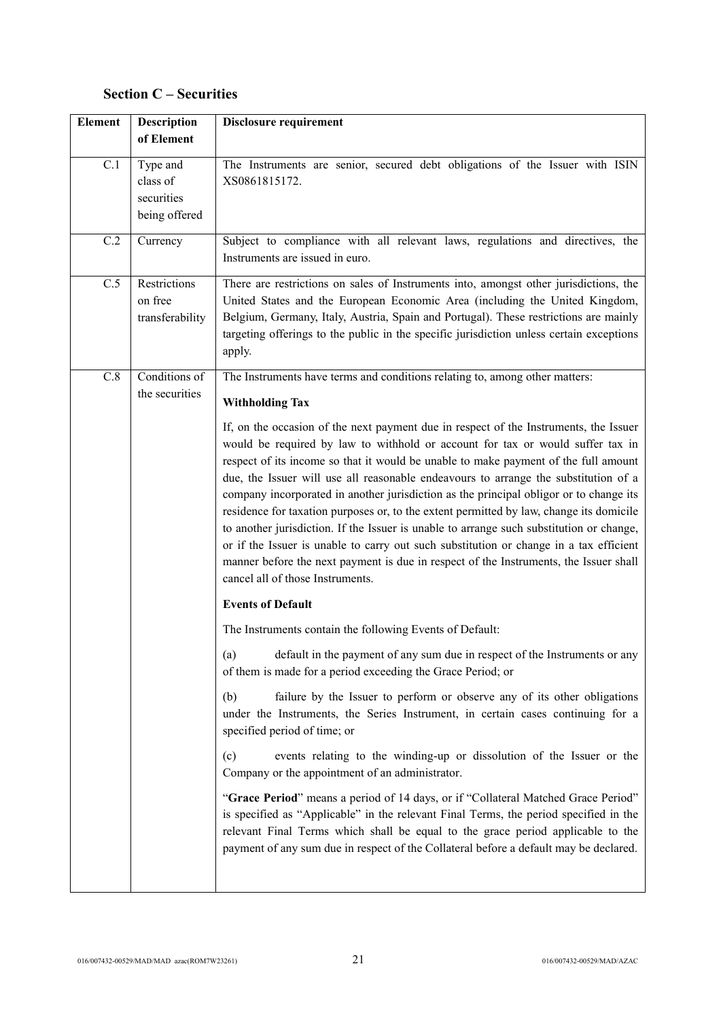# **Section C – Securities**

| <b>Element</b>    | <b>Description</b><br>of Element                    | <b>Disclosure requirement</b>                                                                                                                                                                                                                                                                                                                                                                                                                                                                                                                                                                                                                                                                                                                                                                                                                                 |
|-------------------|-----------------------------------------------------|---------------------------------------------------------------------------------------------------------------------------------------------------------------------------------------------------------------------------------------------------------------------------------------------------------------------------------------------------------------------------------------------------------------------------------------------------------------------------------------------------------------------------------------------------------------------------------------------------------------------------------------------------------------------------------------------------------------------------------------------------------------------------------------------------------------------------------------------------------------|
| C.1               | Type and<br>class of<br>securities<br>being offered | The Instruments are senior, secured debt obligations of the Issuer with ISIN<br>XS0861815172.                                                                                                                                                                                                                                                                                                                                                                                                                                                                                                                                                                                                                                                                                                                                                                 |
| $\overline{C}$ .2 | Currency                                            | Subject to compliance with all relevant laws, regulations and directives, the<br>Instruments are issued in euro.                                                                                                                                                                                                                                                                                                                                                                                                                                                                                                                                                                                                                                                                                                                                              |
| C.5               | Restrictions<br>on free<br>transferability          | There are restrictions on sales of Instruments into, amongst other jurisdictions, the<br>United States and the European Economic Area (including the United Kingdom,<br>Belgium, Germany, Italy, Austria, Spain and Portugal). These restrictions are mainly<br>targeting offerings to the public in the specific jurisdiction unless certain exceptions<br>apply.                                                                                                                                                                                                                                                                                                                                                                                                                                                                                            |
| C.8               | Conditions of                                       | The Instruments have terms and conditions relating to, among other matters:                                                                                                                                                                                                                                                                                                                                                                                                                                                                                                                                                                                                                                                                                                                                                                                   |
|                   | the securities                                      | <b>Withholding Tax</b>                                                                                                                                                                                                                                                                                                                                                                                                                                                                                                                                                                                                                                                                                                                                                                                                                                        |
|                   |                                                     | If, on the occasion of the next payment due in respect of the Instruments, the Issuer<br>would be required by law to withhold or account for tax or would suffer tax in<br>respect of its income so that it would be unable to make payment of the full amount<br>due, the Issuer will use all reasonable endeavours to arrange the substitution of a<br>company incorporated in another jurisdiction as the principal obligor or to change its<br>residence for taxation purposes or, to the extent permitted by law, change its domicile<br>to another jurisdiction. If the Issuer is unable to arrange such substitution or change,<br>or if the Issuer is unable to carry out such substitution or change in a tax efficient<br>manner before the next payment is due in respect of the Instruments, the Issuer shall<br>cancel all of those Instruments. |
|                   |                                                     | <b>Events of Default</b>                                                                                                                                                                                                                                                                                                                                                                                                                                                                                                                                                                                                                                                                                                                                                                                                                                      |
|                   |                                                     | The Instruments contain the following Events of Default:                                                                                                                                                                                                                                                                                                                                                                                                                                                                                                                                                                                                                                                                                                                                                                                                      |
|                   |                                                     | default in the payment of any sum due in respect of the Instruments or any<br>(a)<br>of them is made for a period exceeding the Grace Period; or                                                                                                                                                                                                                                                                                                                                                                                                                                                                                                                                                                                                                                                                                                              |
|                   |                                                     | failure by the Issuer to perform or observe any of its other obligations<br>(b)<br>under the Instruments, the Series Instrument, in certain cases continuing for a<br>specified period of time; or                                                                                                                                                                                                                                                                                                                                                                                                                                                                                                                                                                                                                                                            |
|                   |                                                     | events relating to the winding-up or dissolution of the Issuer or the<br>(c)<br>Company or the appointment of an administrator.                                                                                                                                                                                                                                                                                                                                                                                                                                                                                                                                                                                                                                                                                                                               |
|                   |                                                     | "Grace Period" means a period of 14 days, or if "Collateral Matched Grace Period"<br>is specified as "Applicable" in the relevant Final Terms, the period specified in the<br>relevant Final Terms which shall be equal to the grace period applicable to the<br>payment of any sum due in respect of the Collateral before a default may be declared.                                                                                                                                                                                                                                                                                                                                                                                                                                                                                                        |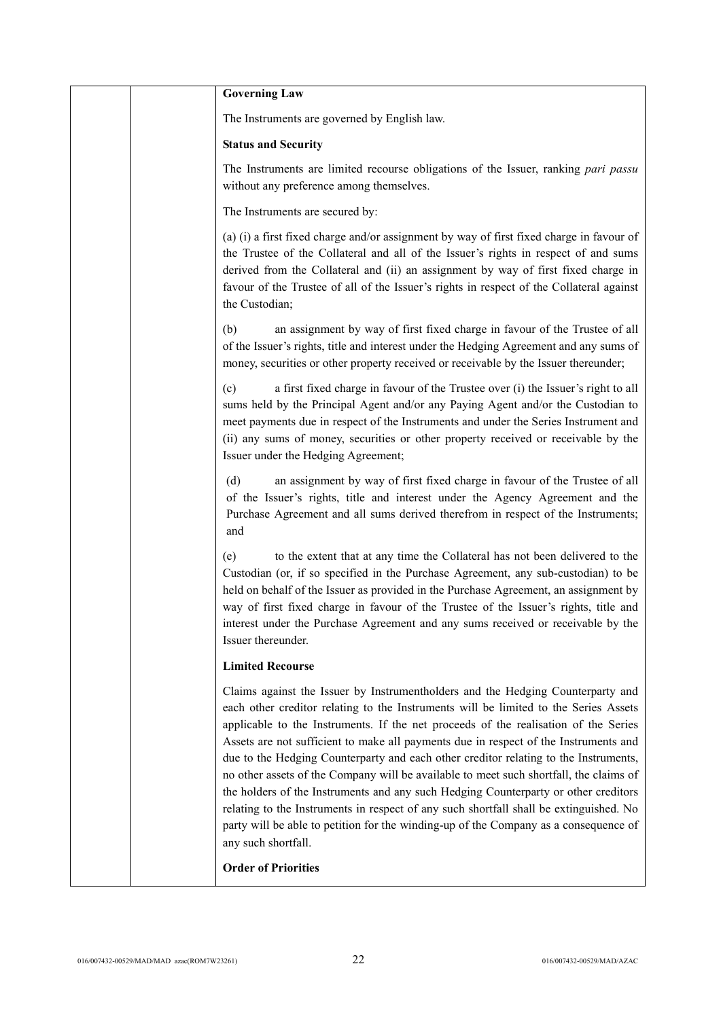|  | <b>Governing Law</b>                                                                                                                                                                                                                                                                                                                                                                                                                                                                                                                                                                                                                                                                                                                                                                                                                     |
|--|------------------------------------------------------------------------------------------------------------------------------------------------------------------------------------------------------------------------------------------------------------------------------------------------------------------------------------------------------------------------------------------------------------------------------------------------------------------------------------------------------------------------------------------------------------------------------------------------------------------------------------------------------------------------------------------------------------------------------------------------------------------------------------------------------------------------------------------|
|  | The Instruments are governed by English law.                                                                                                                                                                                                                                                                                                                                                                                                                                                                                                                                                                                                                                                                                                                                                                                             |
|  | <b>Status and Security</b>                                                                                                                                                                                                                                                                                                                                                                                                                                                                                                                                                                                                                                                                                                                                                                                                               |
|  | The Instruments are limited recourse obligations of the Issuer, ranking pari passu<br>without any preference among themselves.                                                                                                                                                                                                                                                                                                                                                                                                                                                                                                                                                                                                                                                                                                           |
|  | The Instruments are secured by:                                                                                                                                                                                                                                                                                                                                                                                                                                                                                                                                                                                                                                                                                                                                                                                                          |
|  | (a) (i) a first fixed charge and/or assignment by way of first fixed charge in favour of<br>the Trustee of the Collateral and all of the Issuer's rights in respect of and sums<br>derived from the Collateral and (ii) an assignment by way of first fixed charge in<br>favour of the Trustee of all of the Issuer's rights in respect of the Collateral against<br>the Custodian;                                                                                                                                                                                                                                                                                                                                                                                                                                                      |
|  | an assignment by way of first fixed charge in favour of the Trustee of all<br>(b)<br>of the Issuer's rights, title and interest under the Hedging Agreement and any sums of<br>money, securities or other property received or receivable by the Issuer thereunder;                                                                                                                                                                                                                                                                                                                                                                                                                                                                                                                                                                      |
|  | a first fixed charge in favour of the Trustee over (i) the Issuer's right to all<br>(c)<br>sums held by the Principal Agent and/or any Paying Agent and/or the Custodian to<br>meet payments due in respect of the Instruments and under the Series Instrument and<br>(ii) any sums of money, securities or other property received or receivable by the<br>Issuer under the Hedging Agreement;                                                                                                                                                                                                                                                                                                                                                                                                                                          |
|  | (d)<br>an assignment by way of first fixed charge in favour of the Trustee of all<br>of the Issuer's rights, title and interest under the Agency Agreement and the<br>Purchase Agreement and all sums derived therefrom in respect of the Instruments;<br>and                                                                                                                                                                                                                                                                                                                                                                                                                                                                                                                                                                            |
|  | to the extent that at any time the Collateral has not been delivered to the<br>(e)<br>Custodian (or, if so specified in the Purchase Agreement, any sub-custodian) to be<br>held on behalf of the Issuer as provided in the Purchase Agreement, an assignment by<br>way of first fixed charge in favour of the Trustee of the Issuer's rights, title and<br>interest under the Purchase Agreement and any sums received or receivable by the<br>Issuer thereunder.                                                                                                                                                                                                                                                                                                                                                                       |
|  | <b>Limited Recourse</b>                                                                                                                                                                                                                                                                                                                                                                                                                                                                                                                                                                                                                                                                                                                                                                                                                  |
|  | Claims against the Issuer by Instrumentholders and the Hedging Counterparty and<br>each other creditor relating to the Instruments will be limited to the Series Assets<br>applicable to the Instruments. If the net proceeds of the realisation of the Series<br>Assets are not sufficient to make all payments due in respect of the Instruments and<br>due to the Hedging Counterparty and each other creditor relating to the Instruments,<br>no other assets of the Company will be available to meet such shortfall, the claims of<br>the holders of the Instruments and any such Hedging Counterparty or other creditors<br>relating to the Instruments in respect of any such shortfall shall be extinguished. No<br>party will be able to petition for the winding-up of the Company as a consequence of<br>any such shortfall. |
|  | <b>Order of Priorities</b>                                                                                                                                                                                                                                                                                                                                                                                                                                                                                                                                                                                                                                                                                                                                                                                                               |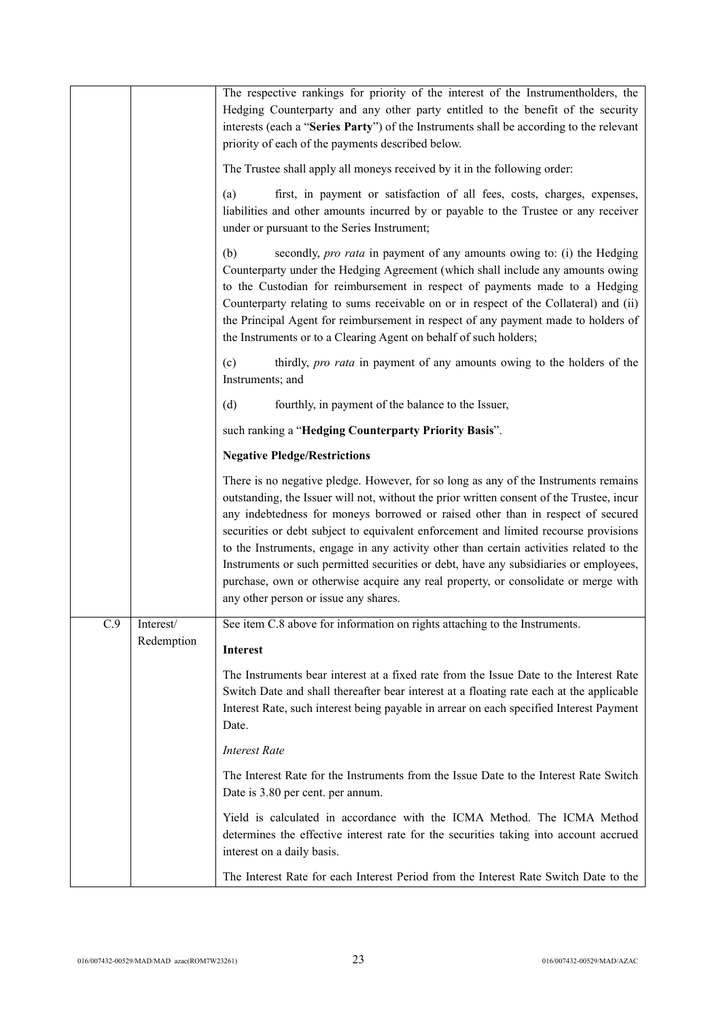|     |                         | The respective rankings for priority of the interest of the Instrumentholders, the<br>Hedging Counterparty and any other party entitled to the benefit of the security<br>interests (each a "Series Party") of the Instruments shall be according to the relevant<br>priority of each of the payments described below.                                                                                                                                                                                                                                                                                                                                                         |
|-----|-------------------------|--------------------------------------------------------------------------------------------------------------------------------------------------------------------------------------------------------------------------------------------------------------------------------------------------------------------------------------------------------------------------------------------------------------------------------------------------------------------------------------------------------------------------------------------------------------------------------------------------------------------------------------------------------------------------------|
|     |                         | The Trustee shall apply all moneys received by it in the following order:                                                                                                                                                                                                                                                                                                                                                                                                                                                                                                                                                                                                      |
|     |                         | first, in payment or satisfaction of all fees, costs, charges, expenses,<br>(a)<br>liabilities and other amounts incurred by or payable to the Trustee or any receiver<br>under or pursuant to the Series Instrument;                                                                                                                                                                                                                                                                                                                                                                                                                                                          |
|     |                         | (b)<br>secondly, <i>pro rata</i> in payment of any amounts owing to: (i) the Hedging<br>Counterparty under the Hedging Agreement (which shall include any amounts owing<br>to the Custodian for reimbursement in respect of payments made to a Hedging<br>Counterparty relating to sums receivable on or in respect of the Collateral) and (ii)<br>the Principal Agent for reimbursement in respect of any payment made to holders of<br>the Instruments or to a Clearing Agent on behalf of such holders;                                                                                                                                                                     |
|     |                         | thirdly, pro rata in payment of any amounts owing to the holders of the<br>(c)<br>Instruments; and                                                                                                                                                                                                                                                                                                                                                                                                                                                                                                                                                                             |
|     |                         | (d)<br>fourthly, in payment of the balance to the Issuer,                                                                                                                                                                                                                                                                                                                                                                                                                                                                                                                                                                                                                      |
|     |                         | such ranking a "Hedging Counterparty Priority Basis".                                                                                                                                                                                                                                                                                                                                                                                                                                                                                                                                                                                                                          |
|     |                         | <b>Negative Pledge/Restrictions</b>                                                                                                                                                                                                                                                                                                                                                                                                                                                                                                                                                                                                                                            |
|     |                         | There is no negative pledge. However, for so long as any of the Instruments remains<br>outstanding, the Issuer will not, without the prior written consent of the Trustee, incur<br>any indebtedness for moneys borrowed or raised other than in respect of secured<br>securities or debt subject to equivalent enforcement and limited recourse provisions<br>to the Instruments, engage in any activity other than certain activities related to the<br>Instruments or such permitted securities or debt, have any subsidiaries or employees,<br>purchase, own or otherwise acquire any real property, or consolidate or merge with<br>any other person or issue any shares. |
| C.9 | Interest/<br>Redemption | See item C.8 above for information on rights attaching to the Instruments.                                                                                                                                                                                                                                                                                                                                                                                                                                                                                                                                                                                                     |
|     |                         | <b>Interest</b>                                                                                                                                                                                                                                                                                                                                                                                                                                                                                                                                                                                                                                                                |
|     |                         | The Instruments bear interest at a fixed rate from the Issue Date to the Interest Rate<br>Switch Date and shall thereafter bear interest at a floating rate each at the applicable<br>Interest Rate, such interest being payable in arrear on each specified Interest Payment<br>Date.                                                                                                                                                                                                                                                                                                                                                                                         |
|     |                         | <b>Interest Rate</b>                                                                                                                                                                                                                                                                                                                                                                                                                                                                                                                                                                                                                                                           |
|     |                         | The Interest Rate for the Instruments from the Issue Date to the Interest Rate Switch<br>Date is 3.80 per cent. per annum.                                                                                                                                                                                                                                                                                                                                                                                                                                                                                                                                                     |
|     |                         | Yield is calculated in accordance with the ICMA Method. The ICMA Method<br>determines the effective interest rate for the securities taking into account accrued<br>interest on a daily basis.                                                                                                                                                                                                                                                                                                                                                                                                                                                                                 |
|     |                         | The Interest Rate for each Interest Period from the Interest Rate Switch Date to the                                                                                                                                                                                                                                                                                                                                                                                                                                                                                                                                                                                           |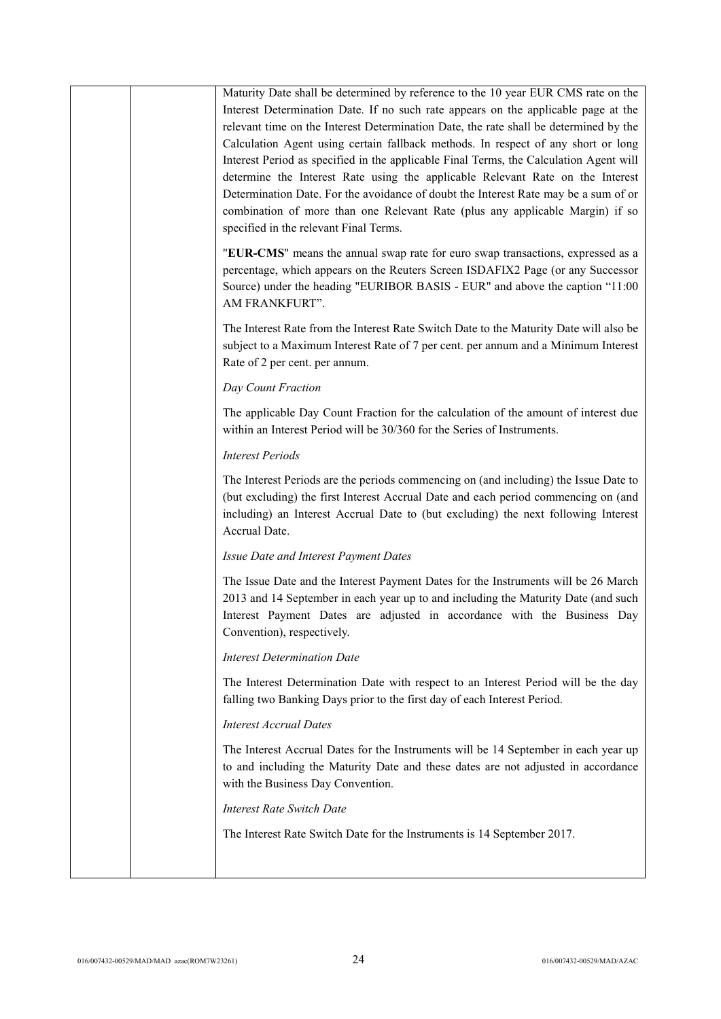|  | Maturity Date shall be determined by reference to the 10 year EUR CMS rate on the<br>Interest Determination Date. If no such rate appears on the applicable page at the<br>relevant time on the Interest Determination Date, the rate shall be determined by the<br>Calculation Agent using certain fallback methods. In respect of any short or long<br>Interest Period as specified in the applicable Final Terms, the Calculation Agent will<br>determine the Interest Rate using the applicable Relevant Rate on the Interest<br>Determination Date. For the avoidance of doubt the Interest Rate may be a sum of or<br>combination of more than one Relevant Rate (plus any applicable Margin) if so<br>specified in the relevant Final Terms. |
|--|-----------------------------------------------------------------------------------------------------------------------------------------------------------------------------------------------------------------------------------------------------------------------------------------------------------------------------------------------------------------------------------------------------------------------------------------------------------------------------------------------------------------------------------------------------------------------------------------------------------------------------------------------------------------------------------------------------------------------------------------------------|
|  | "EUR-CMS" means the annual swap rate for euro swap transactions, expressed as a<br>percentage, which appears on the Reuters Screen ISDAFIX2 Page (or any Successor<br>Source) under the heading "EURIBOR BASIS - EUR" and above the caption "11:00<br>AM FRANKFURT".                                                                                                                                                                                                                                                                                                                                                                                                                                                                                |
|  | The Interest Rate from the Interest Rate Switch Date to the Maturity Date will also be<br>subject to a Maximum Interest Rate of 7 per cent. per annum and a Minimum Interest<br>Rate of 2 per cent. per annum.                                                                                                                                                                                                                                                                                                                                                                                                                                                                                                                                      |
|  | Day Count Fraction                                                                                                                                                                                                                                                                                                                                                                                                                                                                                                                                                                                                                                                                                                                                  |
|  | The applicable Day Count Fraction for the calculation of the amount of interest due<br>within an Interest Period will be 30/360 for the Series of Instruments.                                                                                                                                                                                                                                                                                                                                                                                                                                                                                                                                                                                      |
|  | <b>Interest Periods</b>                                                                                                                                                                                                                                                                                                                                                                                                                                                                                                                                                                                                                                                                                                                             |
|  | The Interest Periods are the periods commencing on (and including) the Issue Date to<br>(but excluding) the first Interest Accrual Date and each period commencing on (and<br>including) an Interest Accrual Date to (but excluding) the next following Interest<br>Accrual Date.                                                                                                                                                                                                                                                                                                                                                                                                                                                                   |
|  | Issue Date and Interest Payment Dates                                                                                                                                                                                                                                                                                                                                                                                                                                                                                                                                                                                                                                                                                                               |
|  | The Issue Date and the Interest Payment Dates for the Instruments will be 26 March<br>2013 and 14 September in each year up to and including the Maturity Date (and such<br>Interest Payment Dates are adjusted in accordance with the Business Day<br>Convention), respectively.                                                                                                                                                                                                                                                                                                                                                                                                                                                                   |
|  | <b>Interest Determination Date</b>                                                                                                                                                                                                                                                                                                                                                                                                                                                                                                                                                                                                                                                                                                                  |
|  | The Interest Determination Date with respect to an Interest Period will be the day<br>falling two Banking Days prior to the first day of each Interest Period.                                                                                                                                                                                                                                                                                                                                                                                                                                                                                                                                                                                      |
|  | <b>Interest Accrual Dates</b>                                                                                                                                                                                                                                                                                                                                                                                                                                                                                                                                                                                                                                                                                                                       |
|  | The Interest Accrual Dates for the Instruments will be 14 September in each year up<br>to and including the Maturity Date and these dates are not adjusted in accordance<br>with the Business Day Convention.                                                                                                                                                                                                                                                                                                                                                                                                                                                                                                                                       |
|  | <b>Interest Rate Switch Date</b>                                                                                                                                                                                                                                                                                                                                                                                                                                                                                                                                                                                                                                                                                                                    |
|  | The Interest Rate Switch Date for the Instruments is 14 September 2017.                                                                                                                                                                                                                                                                                                                                                                                                                                                                                                                                                                                                                                                                             |
|  |                                                                                                                                                                                                                                                                                                                                                                                                                                                                                                                                                                                                                                                                                                                                                     |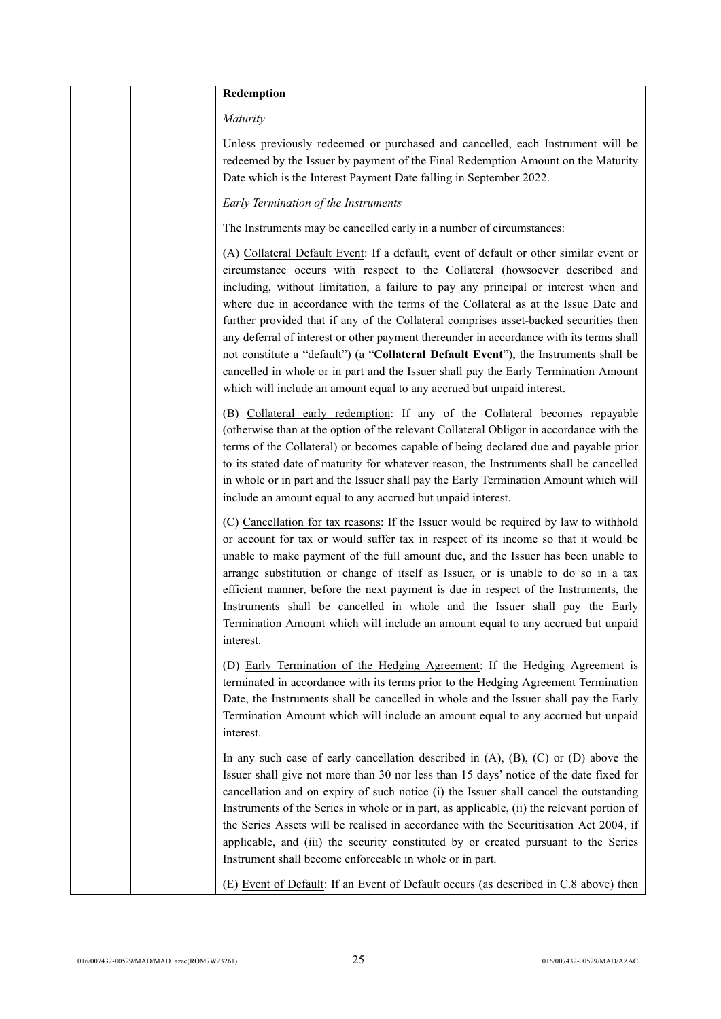| Redemption                                                                                                                                                                                                                                                                                                                                                                                                                                                                                                                                                                                                                                                                                                                                                                                    |
|-----------------------------------------------------------------------------------------------------------------------------------------------------------------------------------------------------------------------------------------------------------------------------------------------------------------------------------------------------------------------------------------------------------------------------------------------------------------------------------------------------------------------------------------------------------------------------------------------------------------------------------------------------------------------------------------------------------------------------------------------------------------------------------------------|
| Maturity                                                                                                                                                                                                                                                                                                                                                                                                                                                                                                                                                                                                                                                                                                                                                                                      |
| Unless previously redeemed or purchased and cancelled, each Instrument will be<br>redeemed by the Issuer by payment of the Final Redemption Amount on the Maturity<br>Date which is the Interest Payment Date falling in September 2022.                                                                                                                                                                                                                                                                                                                                                                                                                                                                                                                                                      |
| Early Termination of the Instruments                                                                                                                                                                                                                                                                                                                                                                                                                                                                                                                                                                                                                                                                                                                                                          |
| The Instruments may be cancelled early in a number of circumstances:                                                                                                                                                                                                                                                                                                                                                                                                                                                                                                                                                                                                                                                                                                                          |
| (A) Collateral Default Event: If a default, event of default or other similar event or<br>circumstance occurs with respect to the Collateral (howsoever described and<br>including, without limitation, a failure to pay any principal or interest when and<br>where due in accordance with the terms of the Collateral as at the Issue Date and<br>further provided that if any of the Collateral comprises asset-backed securities then<br>any deferral of interest or other payment thereunder in accordance with its terms shall<br>not constitute a "default") (a "Collateral Default Event"), the Instruments shall be<br>cancelled in whole or in part and the Issuer shall pay the Early Termination Amount<br>which will include an amount equal to any accrued but unpaid interest. |
| (B) Collateral early redemption: If any of the Collateral becomes repayable<br>(otherwise than at the option of the relevant Collateral Obligor in accordance with the<br>terms of the Collateral) or becomes capable of being declared due and payable prior<br>to its stated date of maturity for whatever reason, the Instruments shall be cancelled<br>in whole or in part and the Issuer shall pay the Early Termination Amount which will<br>include an amount equal to any accrued but unpaid interest.                                                                                                                                                                                                                                                                                |
| (C) Cancellation for tax reasons: If the Issuer would be required by law to withhold<br>or account for tax or would suffer tax in respect of its income so that it would be<br>unable to make payment of the full amount due, and the Issuer has been unable to<br>arrange substitution or change of itself as Issuer, or is unable to do so in a tax<br>efficient manner, before the next payment is due in respect of the Instruments, the<br>Instruments shall be cancelled in whole and the Issuer shall pay the Early<br>Termination Amount which will include an amount equal to any accrued but unpaid<br>interest.                                                                                                                                                                    |
| (D) Early Termination of the Hedging Agreement: If the Hedging Agreement is<br>terminated in accordance with its terms prior to the Hedging Agreement Termination<br>Date, the Instruments shall be cancelled in whole and the Issuer shall pay the Early<br>Termination Amount which will include an amount equal to any accrued but unpaid<br>interest.                                                                                                                                                                                                                                                                                                                                                                                                                                     |
| In any such case of early cancellation described in $(A)$ , $(B)$ , $(C)$ or $(D)$ above the<br>Issuer shall give not more than 30 nor less than 15 days' notice of the date fixed for<br>cancellation and on expiry of such notice (i) the Issuer shall cancel the outstanding<br>Instruments of the Series in whole or in part, as applicable, (ii) the relevant portion of<br>the Series Assets will be realised in accordance with the Securitisation Act 2004, if<br>applicable, and (iii) the security constituted by or created pursuant to the Series<br>Instrument shall become enforceable in whole or in part.                                                                                                                                                                     |
| (E) Event of Default: If an Event of Default occurs (as described in C.8 above) then                                                                                                                                                                                                                                                                                                                                                                                                                                                                                                                                                                                                                                                                                                          |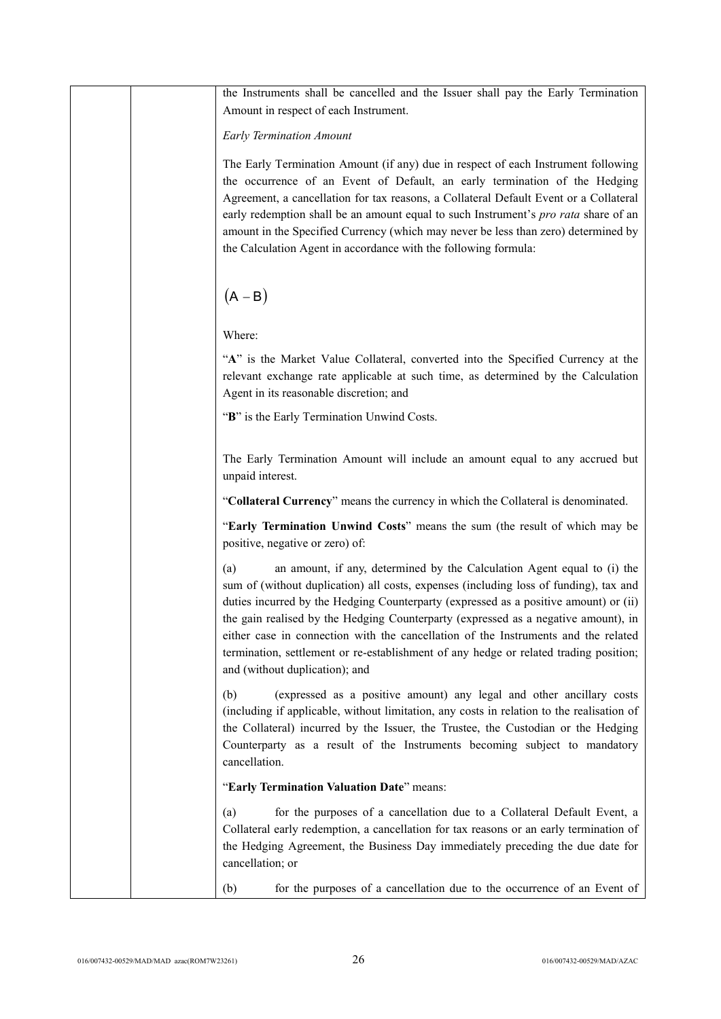|  | the Instruments shall be cancelled and the Issuer shall pay the Early Termination<br>Amount in respect of each Instrument.                                                                                                                                                                                                                                                                                                                                                                                                                                             |
|--|------------------------------------------------------------------------------------------------------------------------------------------------------------------------------------------------------------------------------------------------------------------------------------------------------------------------------------------------------------------------------------------------------------------------------------------------------------------------------------------------------------------------------------------------------------------------|
|  | <b>Early Termination Amount</b>                                                                                                                                                                                                                                                                                                                                                                                                                                                                                                                                        |
|  | The Early Termination Amount (if any) due in respect of each Instrument following<br>the occurrence of an Event of Default, an early termination of the Hedging<br>Agreement, a cancellation for tax reasons, a Collateral Default Event or a Collateral<br>early redemption shall be an amount equal to such Instrument's pro rata share of an<br>amount in the Specified Currency (which may never be less than zero) determined by<br>the Calculation Agent in accordance with the following formula:                                                               |
|  | $(A - B)$                                                                                                                                                                                                                                                                                                                                                                                                                                                                                                                                                              |
|  | Where:                                                                                                                                                                                                                                                                                                                                                                                                                                                                                                                                                                 |
|  | "A" is the Market Value Collateral, converted into the Specified Currency at the<br>relevant exchange rate applicable at such time, as determined by the Calculation<br>Agent in its reasonable discretion; and                                                                                                                                                                                                                                                                                                                                                        |
|  | "B" is the Early Termination Unwind Costs.                                                                                                                                                                                                                                                                                                                                                                                                                                                                                                                             |
|  | The Early Termination Amount will include an amount equal to any accrued but<br>unpaid interest.                                                                                                                                                                                                                                                                                                                                                                                                                                                                       |
|  | "Collateral Currency" means the currency in which the Collateral is denominated.                                                                                                                                                                                                                                                                                                                                                                                                                                                                                       |
|  | "Early Termination Unwind Costs" means the sum (the result of which may be<br>positive, negative or zero) of:                                                                                                                                                                                                                                                                                                                                                                                                                                                          |
|  | an amount, if any, determined by the Calculation Agent equal to (i) the<br>(a)<br>sum of (without duplication) all costs, expenses (including loss of funding), tax and<br>duties incurred by the Hedging Counterparty (expressed as a positive amount) or (ii)<br>the gain realised by the Hedging Counterparty (expressed as a negative amount), in<br>either case in connection with the cancellation of the Instruments and the related<br>termination, settlement or re-establishment of any hedge or related trading position;<br>and (without duplication); and |
|  | (expressed as a positive amount) any legal and other ancillary costs<br>(b)<br>(including if applicable, without limitation, any costs in relation to the realisation of<br>the Collateral) incurred by the Issuer, the Trustee, the Custodian or the Hedging<br>Counterparty as a result of the Instruments becoming subject to mandatory<br>cancellation.                                                                                                                                                                                                            |
|  | "Early Termination Valuation Date" means:                                                                                                                                                                                                                                                                                                                                                                                                                                                                                                                              |
|  | for the purposes of a cancellation due to a Collateral Default Event, a<br>(a)<br>Collateral early redemption, a cancellation for tax reasons or an early termination of<br>the Hedging Agreement, the Business Day immediately preceding the due date for<br>cancellation; or                                                                                                                                                                                                                                                                                         |
|  | for the purposes of a cancellation due to the occurrence of an Event of<br>(b)                                                                                                                                                                                                                                                                                                                                                                                                                                                                                         |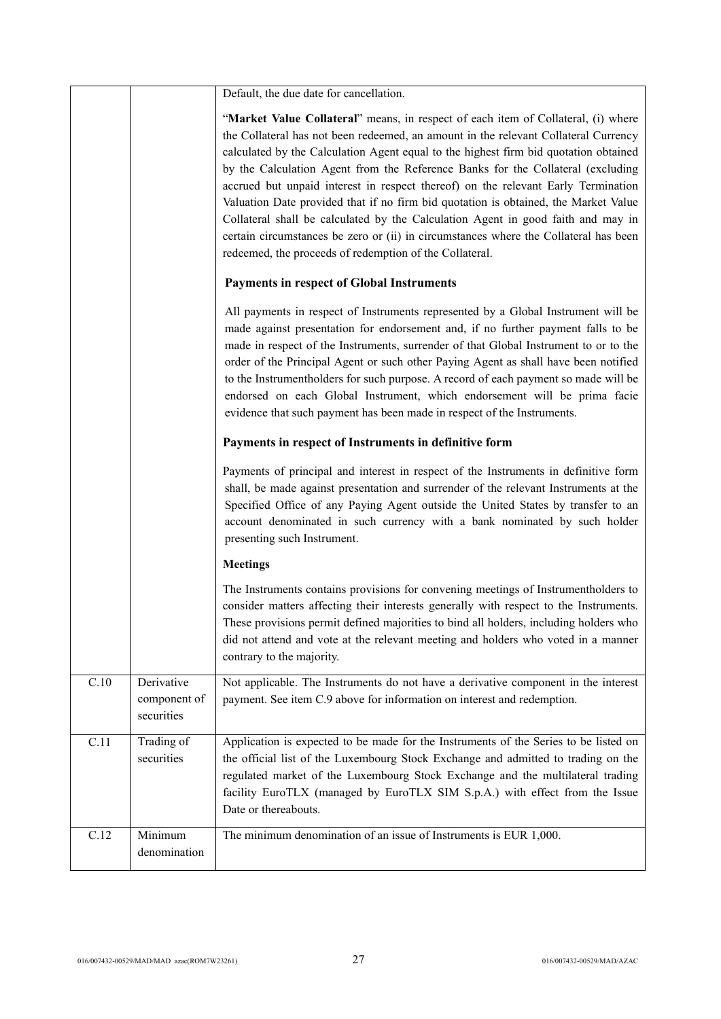|      |                                          | Default, the due date for cancellation.                                                                                                                                                                                                                                                                                                                                                                                                                                                                                                                                                                                                                                                                                                                                |
|------|------------------------------------------|------------------------------------------------------------------------------------------------------------------------------------------------------------------------------------------------------------------------------------------------------------------------------------------------------------------------------------------------------------------------------------------------------------------------------------------------------------------------------------------------------------------------------------------------------------------------------------------------------------------------------------------------------------------------------------------------------------------------------------------------------------------------|
|      |                                          | "Market Value Collateral" means, in respect of each item of Collateral, (i) where<br>the Collateral has not been redeemed, an amount in the relevant Collateral Currency<br>calculated by the Calculation Agent equal to the highest firm bid quotation obtained<br>by the Calculation Agent from the Reference Banks for the Collateral (excluding<br>accrued but unpaid interest in respect thereof) on the relevant Early Termination<br>Valuation Date provided that if no firm bid quotation is obtained, the Market Value<br>Collateral shall be calculated by the Calculation Agent in good faith and may in<br>certain circumstances be zero or (ii) in circumstances where the Collateral has been<br>redeemed, the proceeds of redemption of the Collateral. |
|      |                                          | <b>Payments in respect of Global Instruments</b>                                                                                                                                                                                                                                                                                                                                                                                                                                                                                                                                                                                                                                                                                                                       |
|      |                                          | All payments in respect of Instruments represented by a Global Instrument will be<br>made against presentation for endorsement and, if no further payment falls to be<br>made in respect of the Instruments, surrender of that Global Instrument to or to the<br>order of the Principal Agent or such other Paying Agent as shall have been notified<br>to the Instrumentholders for such purpose. A record of each payment so made will be<br>endorsed on each Global Instrument, which endorsement will be prima facie<br>evidence that such payment has been made in respect of the Instruments.                                                                                                                                                                    |
|      |                                          | Payments in respect of Instruments in definitive form                                                                                                                                                                                                                                                                                                                                                                                                                                                                                                                                                                                                                                                                                                                  |
|      |                                          | Payments of principal and interest in respect of the Instruments in definitive form<br>shall, be made against presentation and surrender of the relevant Instruments at the<br>Specified Office of any Paying Agent outside the United States by transfer to an<br>account denominated in such currency with a bank nominated by such holder<br>presenting such Instrument.                                                                                                                                                                                                                                                                                                                                                                                            |
|      |                                          | <b>Meetings</b>                                                                                                                                                                                                                                                                                                                                                                                                                                                                                                                                                                                                                                                                                                                                                        |
|      |                                          | The Instruments contains provisions for convening meetings of Instrumentholders to<br>consider matters affecting their interests generally with respect to the Instruments.<br>These provisions permit defined majorities to bind all holders, including holders who<br>did not attend and vote at the relevant meeting and holders who voted in a manner<br>contrary to the majority.                                                                                                                                                                                                                                                                                                                                                                                 |
| C.10 | Derivative<br>component of<br>securities | Not applicable. The Instruments do not have a derivative component in the interest<br>payment. See item C.9 above for information on interest and redemption.                                                                                                                                                                                                                                                                                                                                                                                                                                                                                                                                                                                                          |
| C.11 | Trading of<br>securities                 | Application is expected to be made for the Instruments of the Series to be listed on<br>the official list of the Luxembourg Stock Exchange and admitted to trading on the<br>regulated market of the Luxembourg Stock Exchange and the multilateral trading<br>facility EuroTLX (managed by EuroTLX SIM S.p.A.) with effect from the Issue<br>Date or thereabouts.                                                                                                                                                                                                                                                                                                                                                                                                     |
| C.12 | Minimum<br>denomination                  | The minimum denomination of an issue of Instruments is EUR 1,000.                                                                                                                                                                                                                                                                                                                                                                                                                                                                                                                                                                                                                                                                                                      |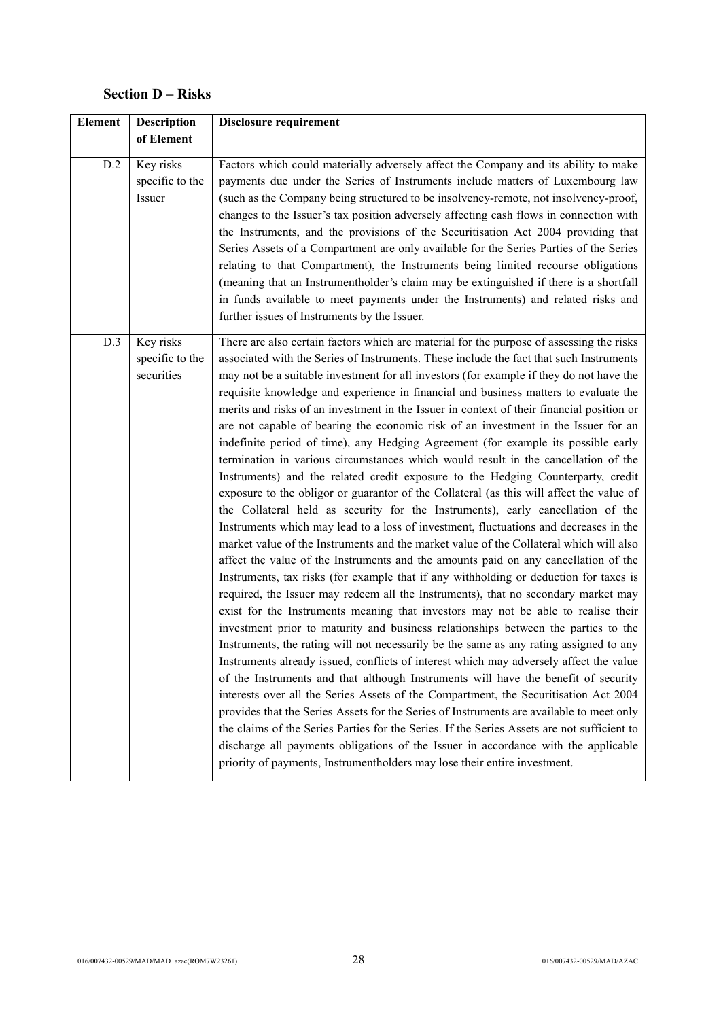# **Section D – Risks**

| Element | <b>Description</b>                         | <b>Disclosure requirement</b>                                                                                                                                                                                                                                                                                                                                                                                                                                                                                                                                                                                                                                                                                                                                                                                                                                                                                                                                                                                                                                                                                                                                                                                                                                                                                                                                                                                                                                                                                                                                                                                                                                                                                                                                                                                                                                                                                                                                                                                                                                                                                                                                                                                                                                                                                                                                               |
|---------|--------------------------------------------|-----------------------------------------------------------------------------------------------------------------------------------------------------------------------------------------------------------------------------------------------------------------------------------------------------------------------------------------------------------------------------------------------------------------------------------------------------------------------------------------------------------------------------------------------------------------------------------------------------------------------------------------------------------------------------------------------------------------------------------------------------------------------------------------------------------------------------------------------------------------------------------------------------------------------------------------------------------------------------------------------------------------------------------------------------------------------------------------------------------------------------------------------------------------------------------------------------------------------------------------------------------------------------------------------------------------------------------------------------------------------------------------------------------------------------------------------------------------------------------------------------------------------------------------------------------------------------------------------------------------------------------------------------------------------------------------------------------------------------------------------------------------------------------------------------------------------------------------------------------------------------------------------------------------------------------------------------------------------------------------------------------------------------------------------------------------------------------------------------------------------------------------------------------------------------------------------------------------------------------------------------------------------------------------------------------------------------------------------------------------------------|
|         | of Element                                 |                                                                                                                                                                                                                                                                                                                                                                                                                                                                                                                                                                                                                                                                                                                                                                                                                                                                                                                                                                                                                                                                                                                                                                                                                                                                                                                                                                                                                                                                                                                                                                                                                                                                                                                                                                                                                                                                                                                                                                                                                                                                                                                                                                                                                                                                                                                                                                             |
| D.2     | Key risks<br>specific to the<br>Issuer     | Factors which could materially adversely affect the Company and its ability to make<br>payments due under the Series of Instruments include matters of Luxembourg law<br>(such as the Company being structured to be insolvency-remote, not insolvency-proof,<br>changes to the Issuer's tax position adversely affecting cash flows in connection with<br>the Instruments, and the provisions of the Securitisation Act 2004 providing that<br>Series Assets of a Compartment are only available for the Series Parties of the Series<br>relating to that Compartment), the Instruments being limited recourse obligations<br>(meaning that an Instrumentholder's claim may be extinguished if there is a shortfall<br>in funds available to meet payments under the Instruments) and related risks and<br>further issues of Instruments by the Issuer.                                                                                                                                                                                                                                                                                                                                                                                                                                                                                                                                                                                                                                                                                                                                                                                                                                                                                                                                                                                                                                                                                                                                                                                                                                                                                                                                                                                                                                                                                                                    |
| D.3     | Key risks<br>specific to the<br>securities | There are also certain factors which are material for the purpose of assessing the risks<br>associated with the Series of Instruments. These include the fact that such Instruments<br>may not be a suitable investment for all investors (for example if they do not have the<br>requisite knowledge and experience in financial and business matters to evaluate the<br>merits and risks of an investment in the Issuer in context of their financial position or<br>are not capable of bearing the economic risk of an investment in the Issuer for an<br>indefinite period of time), any Hedging Agreement (for example its possible early<br>termination in various circumstances which would result in the cancellation of the<br>Instruments) and the related credit exposure to the Hedging Counterparty, credit<br>exposure to the obligor or guarantor of the Collateral (as this will affect the value of<br>the Collateral held as security for the Instruments), early cancellation of the<br>Instruments which may lead to a loss of investment, fluctuations and decreases in the<br>market value of the Instruments and the market value of the Collateral which will also<br>affect the value of the Instruments and the amounts paid on any cancellation of the<br>Instruments, tax risks (for example that if any withholding or deduction for taxes is<br>required, the Issuer may redeem all the Instruments), that no secondary market may<br>exist for the Instruments meaning that investors may not be able to realise their<br>investment prior to maturity and business relationships between the parties to the<br>Instruments, the rating will not necessarily be the same as any rating assigned to any<br>Instruments already issued, conflicts of interest which may adversely affect the value<br>of the Instruments and that although Instruments will have the benefit of security<br>interests over all the Series Assets of the Compartment, the Securitisation Act 2004<br>provides that the Series Assets for the Series of Instruments are available to meet only<br>the claims of the Series Parties for the Series. If the Series Assets are not sufficient to<br>discharge all payments obligations of the Issuer in accordance with the applicable<br>priority of payments, Instrumentholders may lose their entire investment. |